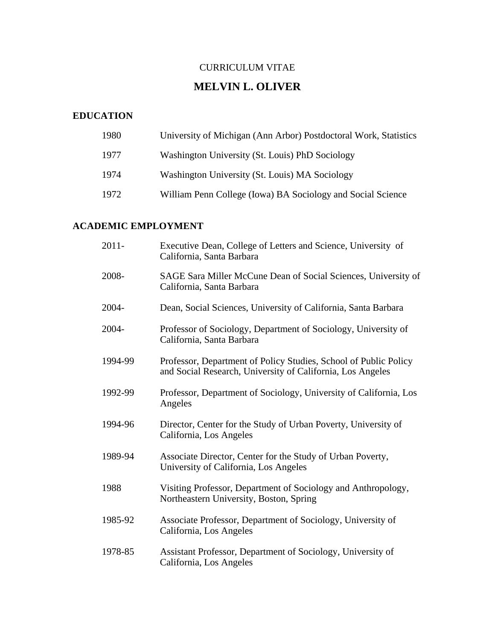## CURRICULUM VITAE

# **MELVIN L. OLIVER**

# **EDUCATION**

| 1980 | University of Michigan (Ann Arbor) Postdoctoral Work, Statistics |
|------|------------------------------------------------------------------|
| 1977 | Washington University (St. Louis) PhD Sociology                  |
| 1974 | Washington University (St. Louis) MA Sociology                   |
| 1972 | William Penn College (Iowa) BA Sociology and Social Science      |

# **ACADEMIC EMPLOYMENT**

| $2011 -$ | Executive Dean, College of Letters and Science, University of<br>California, Santa Barbara                                     |
|----------|--------------------------------------------------------------------------------------------------------------------------------|
| 2008-    | SAGE Sara Miller McCune Dean of Social Sciences, University of<br>California, Santa Barbara                                    |
| 2004-    | Dean, Social Sciences, University of California, Santa Barbara                                                                 |
| 2004-    | Professor of Sociology, Department of Sociology, University of<br>California, Santa Barbara                                    |
| 1994-99  | Professor, Department of Policy Studies, School of Public Policy<br>and Social Research, University of California, Los Angeles |
| 1992-99  | Professor, Department of Sociology, University of California, Los<br>Angeles                                                   |
| 1994-96  | Director, Center for the Study of Urban Poverty, University of<br>California, Los Angeles                                      |
| 1989-94  | Associate Director, Center for the Study of Urban Poverty,<br>University of California, Los Angeles                            |
| 1988     | Visiting Professor, Department of Sociology and Anthropology,<br>Northeastern University, Boston, Spring                       |
| 1985-92  | Associate Professor, Department of Sociology, University of<br>California, Los Angeles                                         |
| 1978-85  | Assistant Professor, Department of Sociology, University of<br>California, Los Angeles                                         |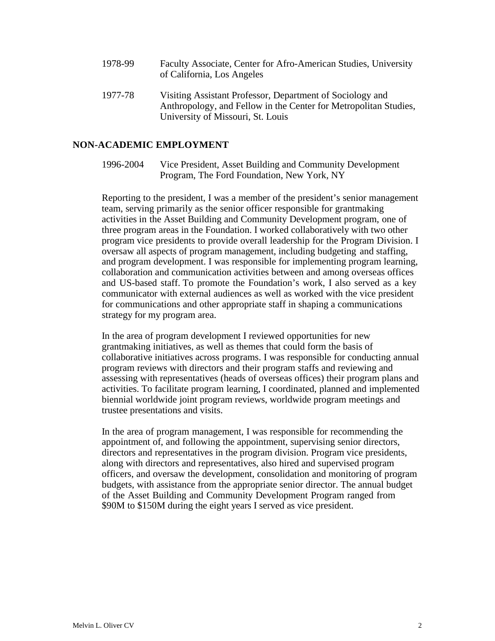- 1978-99 Faculty Associate, Center for Afro-American Studies, University of California, Los Angeles
- 1977-78 Visiting Assistant Professor, Department of Sociology and Anthropology, and Fellow in the Center for Metropolitan Studies, University of Missouri, St. Louis

#### **NON-ACADEMIC EMPLOYMENT**

1996-2004 Vice President, Asset Building and Community Development Program, The Ford Foundation, New York, NY

Reporting to the president, I was a member of the president's senior management team, serving primarily as the senior officer responsible for grantmaking activities in the Asset Building and Community Development program, one of three program areas in the Foundation. I worked collaboratively with two other program vice presidents to provide overall leadership for the Program Division. I oversaw all aspects of program management, including budgeting and staffing, and program development. I was responsible for implementing program learning, collaboration and communication activities between and among overseas offices and US-based staff. To promote the Foundation's work, I also served as a key communicator with external audiences as well as worked with the vice president for communications and other appropriate staff in shaping a communications strategy for my program area.

In the area of program development I reviewed opportunities for new grantmaking initiatives, as well as themes that could form the basis of collaborative initiatives across programs. I was responsible for conducting annual program reviews with directors and their program staffs and reviewing and assessing with representatives (heads of overseas offices) their program plans and activities. To facilitate program learning, I coordinated, planned and implemented biennial worldwide joint program reviews, worldwide program meetings and trustee presentations and visits.

In the area of program management, I was responsible for recommending the appointment of, and following the appointment, supervising senior directors, directors and representatives in the program division. Program vice presidents, along with directors and representatives, also hired and supervised program officers, and oversaw the development, consolidation and monitoring of program budgets, with assistance from the appropriate senior director. The annual budget of the Asset Building and Community Development Program ranged from \$90M to \$150M during the eight years I served as vice president.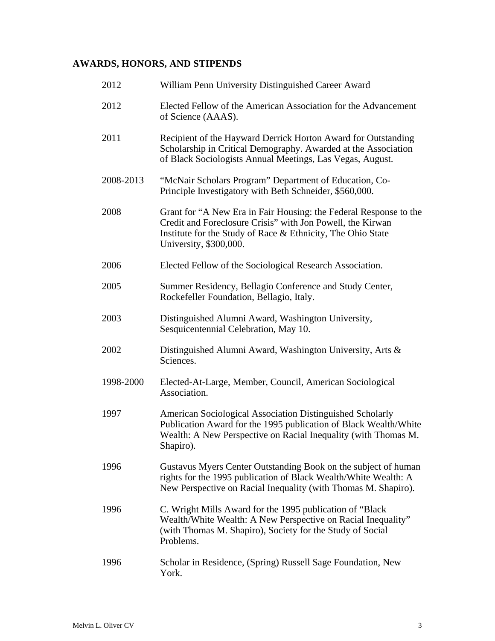# **AWARDS, HONORS, AND STIPENDS**

| 2012      | William Penn University Distinguished Career Award                                                                                                                                                                       |
|-----------|--------------------------------------------------------------------------------------------------------------------------------------------------------------------------------------------------------------------------|
| 2012      | Elected Fellow of the American Association for the Advancement<br>of Science (AAAS).                                                                                                                                     |
| 2011      | Recipient of the Hayward Derrick Horton Award for Outstanding<br>Scholarship in Critical Demography. Awarded at the Association<br>of Black Sociologists Annual Meetings, Las Vegas, August.                             |
| 2008-2013 | "McNair Scholars Program" Department of Education, Co-<br>Principle Investigatory with Beth Schneider, \$560,000.                                                                                                        |
| 2008      | Grant for "A New Era in Fair Housing: the Federal Response to the<br>Credit and Foreclosure Crisis" with Jon Powell, the Kirwan<br>Institute for the Study of Race & Ethnicity, The Ohio State<br>University, \$300,000. |
| 2006      | Elected Fellow of the Sociological Research Association.                                                                                                                                                                 |
| 2005      | Summer Residency, Bellagio Conference and Study Center,<br>Rockefeller Foundation, Bellagio, Italy.                                                                                                                      |
| 2003      | Distinguished Alumni Award, Washington University,<br>Sesquicentennial Celebration, May 10.                                                                                                                              |
| 2002      | Distinguished Alumni Award, Washington University, Arts &<br>Sciences.                                                                                                                                                   |
| 1998-2000 | Elected-At-Large, Member, Council, American Sociological<br>Association.                                                                                                                                                 |
| 1997      | American Sociological Association Distinguished Scholarly<br>Publication Award for the 1995 publication of Black Wealth/White<br>Wealth: A New Perspective on Racial Inequality (with Thomas M.<br>Shapiro).             |
| 1996      | Gustavus Myers Center Outstanding Book on the subject of human<br>rights for the 1995 publication of Black Wealth/White Wealth: A<br>New Perspective on Racial Inequality (with Thomas M. Shapiro).                      |
| 1996      | C. Wright Mills Award for the 1995 publication of "Black"<br>Wealth/White Wealth: A New Perspective on Racial Inequality"<br>(with Thomas M. Shapiro), Society for the Study of Social<br>Problems.                      |
| 1996      | Scholar in Residence, (Spring) Russell Sage Foundation, New<br>York.                                                                                                                                                     |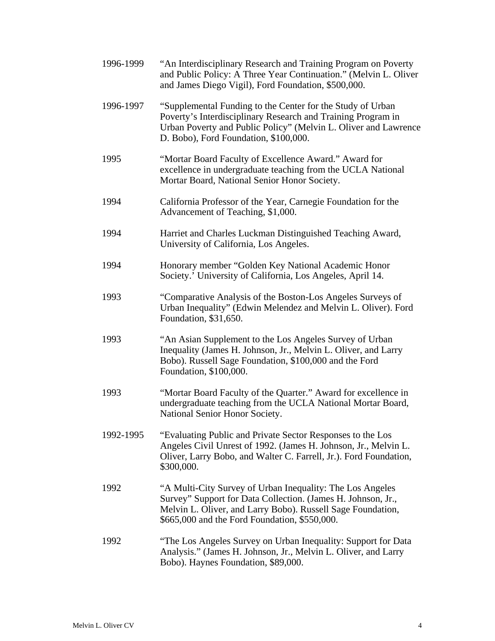| 1996-1999 | "An Interdisciplinary Research and Training Program on Poverty<br>and Public Policy: A Three Year Continuation." (Melvin L. Oliver<br>and James Diego Vigil), Ford Foundation, \$500,000.                                                 |
|-----------|-------------------------------------------------------------------------------------------------------------------------------------------------------------------------------------------------------------------------------------------|
| 1996-1997 | "Supplemental Funding to the Center for the Study of Urban<br>Poverty's Interdisciplinary Research and Training Program in<br>Urban Poverty and Public Policy" (Melvin L. Oliver and Lawrence<br>D. Bobo), Ford Foundation, \$100,000.    |
| 1995      | "Mortar Board Faculty of Excellence Award." Award for<br>excellence in undergraduate teaching from the UCLA National<br>Mortar Board, National Senior Honor Society.                                                                      |
| 1994      | California Professor of the Year, Carnegie Foundation for the<br>Advancement of Teaching, \$1,000.                                                                                                                                        |
| 1994      | Harriet and Charles Luckman Distinguished Teaching Award,<br>University of California, Los Angeles.                                                                                                                                       |
| 1994      | Honorary member "Golden Key National Academic Honor<br>Society.' University of California, Los Angeles, April 14.                                                                                                                         |
| 1993      | "Comparative Analysis of the Boston-Los Angeles Surveys of<br>Urban Inequality" (Edwin Melendez and Melvin L. Oliver). Ford<br>Foundation, \$31,650.                                                                                      |
| 1993      | "An Asian Supplement to the Los Angeles Survey of Urban<br>Inequality (James H. Johnson, Jr., Melvin L. Oliver, and Larry<br>Bobo). Russell Sage Foundation, \$100,000 and the Ford<br>Foundation, \$100,000.                             |
| 1993      | "Mortar Board Faculty of the Quarter." Award for excellence in<br>undergraduate teaching from the UCLA National Mortar Board,<br>National Senior Honor Society.                                                                           |
| 1992-1995 | "Evaluating Public and Private Sector Responses to the Los<br>Angeles Civil Unrest of 1992. (James H. Johnson, Jr., Melvin L.<br>Oliver, Larry Bobo, and Walter C. Farrell, Jr.). Ford Foundation,<br>\$300,000.                          |
| 1992      | "A Multi-City Survey of Urban Inequality: The Los Angeles<br>Survey" Support for Data Collection. (James H. Johnson, Jr.,<br>Melvin L. Oliver, and Larry Bobo). Russell Sage Foundation,<br>\$665,000 and the Ford Foundation, \$550,000. |
| 1992      | "The Los Angeles Survey on Urban Inequality: Support for Data<br>Analysis." (James H. Johnson, Jr., Melvin L. Oliver, and Larry<br>Bobo). Haynes Foundation, \$89,000.                                                                    |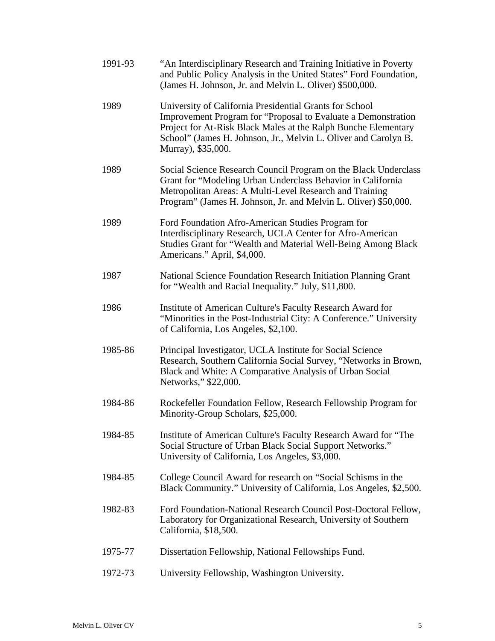| 1991-93 | "An Interdisciplinary Research and Training Initiative in Poverty<br>and Public Policy Analysis in the United States" Ford Foundation,<br>(James H. Johnson, Jr. and Melvin L. Oliver) \$500,000.                                                                                   |
|---------|-------------------------------------------------------------------------------------------------------------------------------------------------------------------------------------------------------------------------------------------------------------------------------------|
| 1989    | University of California Presidential Grants for School<br>Improvement Program for "Proposal to Evaluate a Demonstration<br>Project for At-Risk Black Males at the Ralph Bunche Elementary<br>School" (James H. Johnson, Jr., Melvin L. Oliver and Carolyn B.<br>Murray), \$35,000. |
| 1989    | Social Science Research Council Program on the Black Underclass<br>Grant for "Modeling Urban Underclass Behavior in California<br>Metropolitan Areas: A Multi-Level Research and Training<br>Program" (James H. Johnson, Jr. and Melvin L. Oliver) \$50,000.                        |
| 1989    | Ford Foundation Afro-American Studies Program for<br>Interdisciplinary Research, UCLA Center for Afro-American<br>Studies Grant for "Wealth and Material Well-Being Among Black<br>Americans." April, \$4,000.                                                                      |
| 1987    | National Science Foundation Research Initiation Planning Grant<br>for "Wealth and Racial Inequality." July, \$11,800.                                                                                                                                                               |
| 1986    | Institute of American Culture's Faculty Research Award for<br>"Minorities in the Post-Industrial City: A Conference." University<br>of California, Los Angeles, \$2,100.                                                                                                            |
| 1985-86 | Principal Investigator, UCLA Institute for Social Science<br>Research, Southern California Social Survey, "Networks in Brown,<br>Black and White: A Comparative Analysis of Urban Social<br>Networks," \$22,000.                                                                    |
| 1984-86 | Rockefeller Foundation Fellow, Research Fellowship Program for<br>Minority-Group Scholars, \$25,000.                                                                                                                                                                                |
| 1984-85 | Institute of American Culture's Faculty Research Award for "The<br>Social Structure of Urban Black Social Support Networks."<br>University of California, Los Angeles, \$3,000.                                                                                                     |
| 1984-85 | College Council Award for research on "Social Schisms in the<br>Black Community." University of California, Los Angeles, \$2,500.                                                                                                                                                   |
| 1982-83 | Ford Foundation-National Research Council Post-Doctoral Fellow,<br>Laboratory for Organizational Research, University of Southern<br>California, \$18,500.                                                                                                                          |
| 1975-77 | Dissertation Fellowship, National Fellowships Fund.                                                                                                                                                                                                                                 |
| 1972-73 | University Fellowship, Washington University.                                                                                                                                                                                                                                       |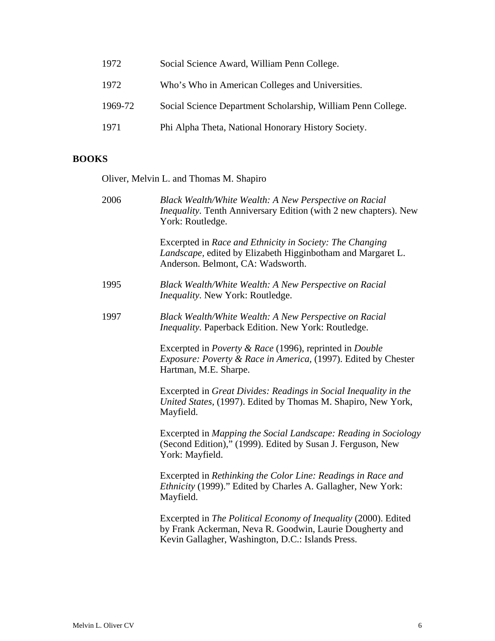| 1972    | Social Science Award, William Penn College.                  |
|---------|--------------------------------------------------------------|
| 1972    | Who's Who in American Colleges and Universities.             |
| 1969-72 | Social Science Department Scholarship, William Penn College. |
| 1971    | Phi Alpha Theta, National Honorary History Society.          |

# **BOOKS**

Oliver, Melvin L. and Thomas M. Shapiro

| 2006 | Black Wealth/White Wealth: A New Perspective on Racial<br>Inequality. Tenth Anniversary Edition (with 2 new chapters). New<br>York: Routledge.                                   |
|------|----------------------------------------------------------------------------------------------------------------------------------------------------------------------------------|
|      | Excerpted in Race and Ethnicity in Society: The Changing<br>Landscape, edited by Elizabeth Higginbotham and Margaret L.<br>Anderson. Belmont, CA: Wadsworth.                     |
| 1995 | Black Wealth/White Wealth: A New Perspective on Racial<br><i>Inequality.</i> New York: Routledge.                                                                                |
| 1997 | Black Wealth/White Wealth: A New Perspective on Racial<br><i>Inequality.</i> Paperback Edition. New York: Routledge.                                                             |
|      | Excerpted in <i>Poverty &amp; Race</i> (1996), reprinted in <i>Double</i><br>Exposure: Poverty & Race in America, (1997). Edited by Chester<br>Hartman, M.E. Sharpe.             |
|      | Excerpted in Great Divides: Readings in Social Inequality in the<br>United States, (1997). Edited by Thomas M. Shapiro, New York,<br>Mayfield.                                   |
|      | Excerpted in Mapping the Social Landscape: Reading in Sociology<br>(Second Edition)," (1999). Edited by Susan J. Ferguson, New<br>York: Mayfield.                                |
|      | Excerpted in Rethinking the Color Line: Readings in Race and<br>Ethnicity (1999)." Edited by Charles A. Gallagher, New York:<br>Mayfield.                                        |
|      | Excerpted in The Political Economy of Inequality (2000). Edited<br>by Frank Ackerman, Neva R. Goodwin, Laurie Dougherty and<br>Kevin Gallagher, Washington, D.C.: Islands Press. |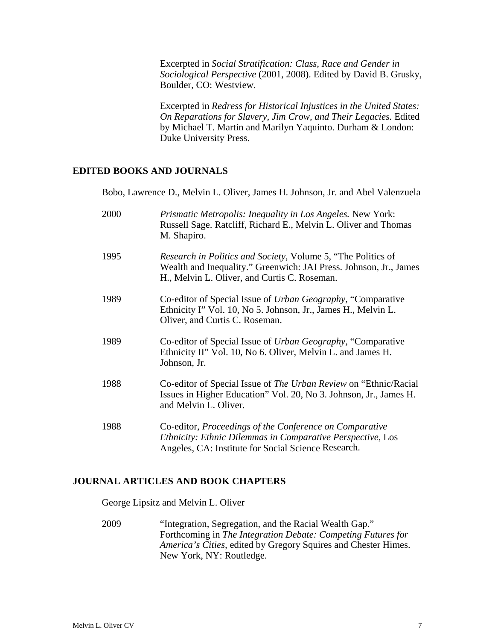Excerpted in *Social Stratification: Class, Race and Gender in Sociological Perspective* (2001, 2008). Edited by David B. Grusky, Boulder, CO: Westview.

 Excerpted in *Redress for Historical Injustices in the United States: On Reparations for Slavery, Jim Crow, and Their Legacies.* Edited by Michael T. Martin and Marilyn Yaquinto. Durham & London: Duke University Press.

### **EDITED BOOKS AND JOURNALS**

Bobo, Lawrence D., Melvin L. Oliver, James H. Johnson, Jr. and Abel Valenzuela

| 2000 | <i>Prismatic Metropolis: Inequality in Los Angeles. New York:</i><br>Russell Sage. Ratcliff, Richard E., Melvin L. Oliver and Thomas<br>M. Shapiro.                                 |
|------|-------------------------------------------------------------------------------------------------------------------------------------------------------------------------------------|
| 1995 | Research in Politics and Society, Volume 5, "The Politics of<br>Wealth and Inequality." Greenwich: JAI Press. Johnson, Jr., James<br>H., Melvin L. Oliver, and Curtis C. Roseman.   |
| 1989 | Co-editor of Special Issue of Urban Geography, "Comparative"<br>Ethnicity I" Vol. 10, No 5. Johnson, Jr., James H., Melvin L.<br>Oliver, and Curtis C. Roseman.                     |
| 1989 | Co-editor of Special Issue of Urban Geography, "Comparative"<br>Ethnicity II" Vol. 10, No 6. Oliver, Melvin L. and James H.<br>Johnson, Jr.                                         |
| 1988 | Co-editor of Special Issue of The Urban Review on "Ethnic/Racial"<br>Issues in Higher Education" Vol. 20, No 3. Johnson, Jr., James H.<br>and Melvin L. Oliver.                     |
| 1988 | Co-editor, <i>Proceedings of the Conference on Comparative</i><br>Ethnicity: Ethnic Dilemmas in Comparative Perspective, Los<br>Angeles, CA: Institute for Social Science Research. |

#### **JOURNAL ARTICLES AND BOOK CHAPTERS**

George Lipsitz and Melvin L. Oliver

2009 "Integration, Segregation, and the Racial Wealth Gap." Forthcoming in *The Integration Debate: Competing Futures for America's Cities,* edited by Gregory Squires and Chester Himes. New York, NY: Routledge.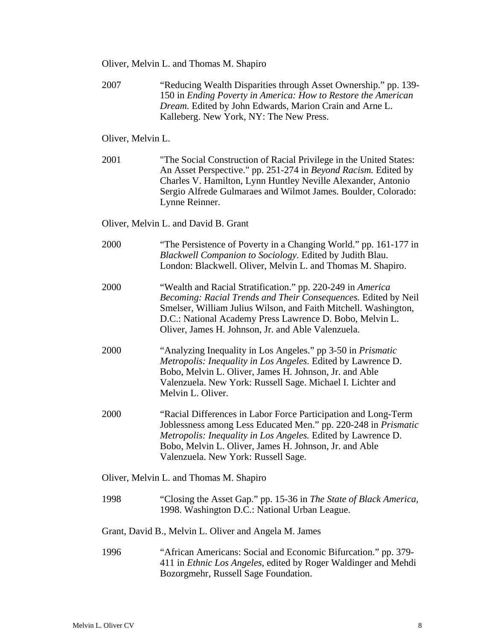- Oliver, Melvin L. and Thomas M. Shapiro
- 2007 "Reducing Wealth Disparities through Asset Ownership." pp. 139- 150 in *Ending Poverty in America: How to Restore the American Dream.* Edited by John Edwards, Marion Crain and Arne L. Kalleberg. New York, NY: The New Press.

Oliver, Melvin L.

2001 "The Social Construction of Racial Privilege in the United States: An Asset Perspective." pp. 251-274 in *Beyond Racism.* Edited by Charles V. Hamilton, Lynn Huntley Neville Alexander, Antonio Sergio Alfrede Gulmaraes and Wilmot James. Boulder, Colorado: Lynne Reinner.

Oliver, Melvin L. and David B. Grant

| 2000                                    | "The Persistence of Poverty in a Changing World." pp. 161-177 in<br>Blackwell Companion to Sociology. Edited by Judith Blau.<br>London: Blackwell. Oliver, Melvin L. and Thomas M. Shapiro.                                                                                                                       |  |
|-----------------------------------------|-------------------------------------------------------------------------------------------------------------------------------------------------------------------------------------------------------------------------------------------------------------------------------------------------------------------|--|
| 2000                                    | "Wealth and Racial Stratification." pp. 220-249 in America<br>Becoming: Racial Trends and Their Consequences. Edited by Neil<br>Smelser, William Julius Wilson, and Faith Mitchell. Washington,<br>D.C.: National Academy Press Lawrence D. Bobo, Melvin L.<br>Oliver, James H. Johnson, Jr. and Able Valenzuela. |  |
| 2000                                    | "Analyzing Inequality in Los Angeles." pp 3-50 in <i>Prismatic</i><br>Metropolis: Inequality in Los Angeles. Edited by Lawrence D.<br>Bobo, Melvin L. Oliver, James H. Johnson, Jr. and Able<br>Valenzuela. New York: Russell Sage. Michael I. Lichter and<br>Melvin L. Oliver.                                   |  |
| 2000                                    | "Racial Differences in Labor Force Participation and Long-Term<br>Joblessness among Less Educated Men." pp. 220-248 in Prismatic<br>Metropolis: Inequality in Los Angeles. Edited by Lawrence D.<br>Bobo, Melvin L. Oliver, James H. Johnson, Jr. and Able<br>Valenzuela. New York: Russell Sage.                 |  |
| Oliver, Melvin L. and Thomas M. Shapiro |                                                                                                                                                                                                                                                                                                                   |  |
| 1998                                    | "Closing the Asset Gap." pp. 15-36 in The State of Black America,<br>1998. Washington D.C.: National Urban League.                                                                                                                                                                                                |  |
|                                         | Grant, David B., Melvin L. Oliver and Angela M. James                                                                                                                                                                                                                                                             |  |
| 1996                                    | "African Americans: Social and Economic Bifurcation." pp. 379-<br>411 in Ethnic Los Angeles, edited by Roger Waldinger and Mehdi<br>Bozorgmehr, Russell Sage Foundation.                                                                                                                                          |  |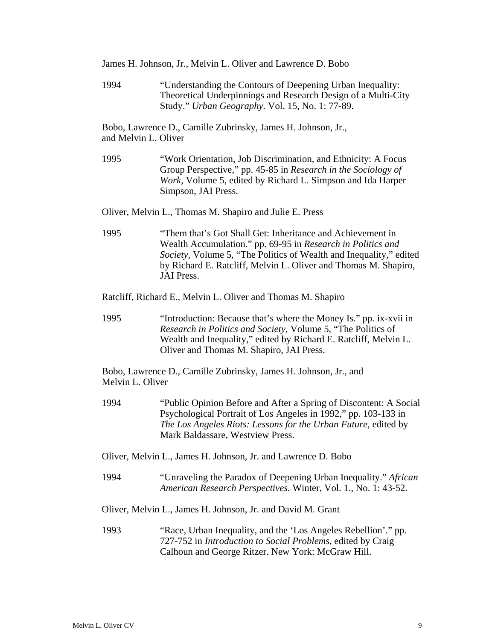- James H. Johnson, Jr., Melvin L. Oliver and Lawrence D. Bobo
- 1994 "Understanding the Contours of Deepening Urban Inequality: Theoretical Underpinnings and Research Design of a Multi-City Study." *Urban Geography.* Vol. 15, No. 1: 77-89.

Bobo, Lawrence D., Camille Zubrinsky, James H. Johnson, Jr., and Melvin L. Oliver

1995 "Work Orientation, Job Discrimination, and Ethnicity: A Focus Group Perspective," pp. 45-85 in *Research in the Sociology of Work,* Volume 5, edited by Richard L. Simpson and Ida Harper Simpson, JAI Press.

Oliver, Melvin L., Thomas M. Shapiro and Julie E. Press

- 1995 "Them that's Got Shall Get: Inheritance and Achievement in Wealth Accumulation." pp. 69-95 in *Research in Politics and Society,* Volume 5, "The Politics of Wealth and Inequality," edited by Richard E. Ratcliff, Melvin L. Oliver and Thomas M. Shapiro, JAI Press.
- Ratcliff, Richard E., Melvin L. Oliver and Thomas M. Shapiro
- 1995 "Introduction: Because that's where the Money Is." pp. ix-xvii in *Research in Politics and Society,* Volume 5, "The Politics of Wealth and Inequality," edited by Richard E. Ratcliff, Melvin L. Oliver and Thomas M. Shapiro, JAI Press.

Bobo, Lawrence D., Camille Zubrinsky, James H. Johnson, Jr., and Melvin L. Oliver

- 1994 "Public Opinion Before and After a Spring of Discontent: A Social Psychological Portrait of Los Angeles in 1992," pp. 103-133 in *The Los Angeles Riots: Lessons for the Urban Future,* edited by Mark Baldassare, Westview Press.
- Oliver, Melvin L., James H. Johnson, Jr. and Lawrence D. Bobo
- 1994 "Unraveling the Paradox of Deepening Urban Inequality." *African American Research Perspectives.* Winter, Vol. 1., No. 1: 43-52.
- Oliver, Melvin L., James H. Johnson, Jr. and David M. Grant
- 1993 "Race, Urban Inequality, and the 'Los Angeles Rebellion'." pp. 727-752 in *Introduction to Social Problems,* edited by Craig Calhoun and George Ritzer. New York: McGraw Hill.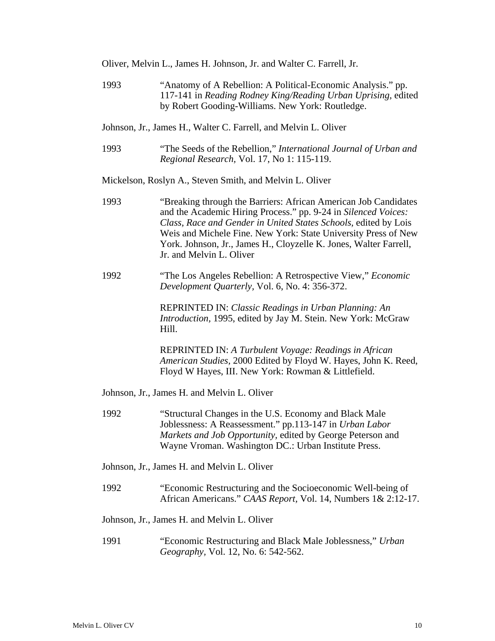| Oliver, Melvin L., James H. Johnson, Jr. and Walter C. Farrell, Jr. |  |
|---------------------------------------------------------------------|--|
|---------------------------------------------------------------------|--|

- 1993 "Anatomy of A Rebellion: A Political-Economic Analysis." pp. 117-141 in *Reading Rodney King/Reading Urban Uprising,* edited by Robert Gooding-Williams. New York: Routledge.
- Johnson, Jr., James H., Walter C. Farrell, and Melvin L. Oliver
- 1993 "The Seeds of the Rebellion," *International Journal of Urban and Regional Research,* Vol. 17, No 1: 115-119.

Mickelson, Roslyn A., Steven Smith, and Melvin L. Oliver

- 1993 "Breaking through the Barriers: African American Job Candidates and the Academic Hiring Process." pp. 9-24 in *Silenced Voices: Class, Race and Gender in United States Schools,* edited by Lois Weis and Michele Fine. New York: State University Press of New York. Johnson, Jr., James H., Cloyzelle K. Jones, Walter Farrell, Jr. and Melvin L. Oliver
- 1992 "The Los Angeles Rebellion: A Retrospective View," *Economic Development Quarterly,* Vol. 6, No. 4: 356-372.

 REPRINTED IN: *Classic Readings in Urban Planning: An Introduction,* 1995, edited by Jay M. Stein. New York: McGraw Hill.

 REPRINTED IN: *A Turbulent Voyage: Readings in African American Studies,* 2000 Edited by Floyd W. Hayes, John K. Reed, Floyd W Hayes, III. New York: Rowman & Littlefield.

Johnson, Jr., James H. and Melvin L. Oliver

- 1992 "Structural Changes in the U.S. Economy and Black Male Joblessness: A Reassessment." pp.113-147 in *Urban Labor Markets and Job Opportunity,* edited by George Peterson and Wayne Vroman. Washington DC.: Urban Institute Press.
- Johnson, Jr., James H. and Melvin L. Oliver
- 1992 "Economic Restructuring and the Socioeconomic Well-being of African Americans." *CAAS Report,* Vol. 14, Numbers 1& 2:12-17.

#### Johnson, Jr., James H. and Melvin L. Oliver

1991 "Economic Restructuring and Black Male Joblessness," *Urban Geography,* Vol. 12, No. 6: 542-562.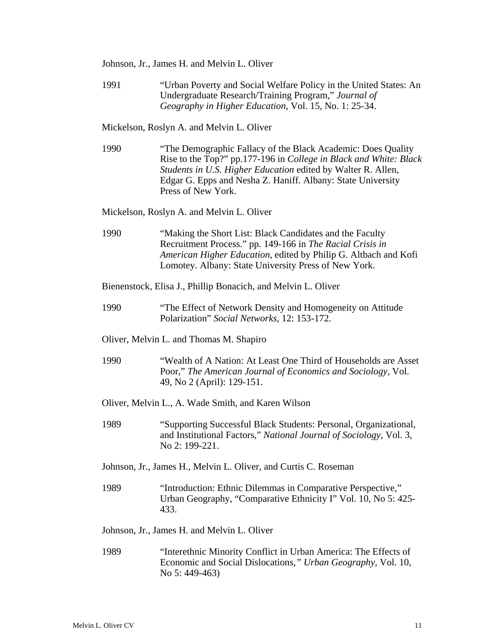- Johnson, Jr., James H. and Melvin L. Oliver
- 1991 "Urban Poverty and Social Welfare Policy in the United States: An Undergraduate Research/Training Program," *Journal of Geography in Higher Education,* Vol. 15, No. 1: 25-34.

Mickelson, Roslyn A. and Melvin L. Oliver

1990 "The Demographic Fallacy of the Black Academic: Does Quality Rise to the Top?" pp.177-196 in *College in Black and White: Black Students in U.S. Higher Education* edited by Walter R. Allen, Edgar G. Epps and Nesha Z. Haniff. Albany: State University Press of New York.

Mickelson, Roslyn A. and Melvin L. Oliver

1990 "Making the Short List: Black Candidates and the Faculty Recruitment Process." pp. 149-166 in *The Racial Crisis in American Higher Education,* edited by Philip G. Altbach and Kofi Lomotey. Albany: State University Press of New York.

Bienenstock, Elisa J., Phillip Bonacich, and Melvin L. Oliver

- 1990 "The Effect of Network Density and Homogeneity on Attitude Polarization" *Social Networks,* 12: 153-172.
- Oliver, Melvin L. and Thomas M. Shapiro
- 1990 "Wealth of A Nation: At Least One Third of Households are Asset Poor," *The American Journal of Economics and Sociology,* Vol. 49, No 2 (April): 129-151.

Oliver, Melvin L., A. Wade Smith, and Karen Wilson

- 1989 "Supporting Successful Black Students: Personal, Organizational, and Institutional Factors," *National Journal of Sociology,* Vol. 3, No 2: 199-221.
- Johnson, Jr., James H., Melvin L. Oliver, and Curtis C. Roseman
- 1989 "Introduction: Ethnic Dilemmas in Comparative Perspective," Urban Geography, "Comparative Ethnicity I" Vol. 10, No 5: 425- 433.

Johnson, Jr., James H. and Melvin L. Oliver

1989 "Interethnic Minority Conflict in Urban America: The Effects of Economic and Social Dislocations*," Urban Geography,* Vol. 10, No 5: 449-463)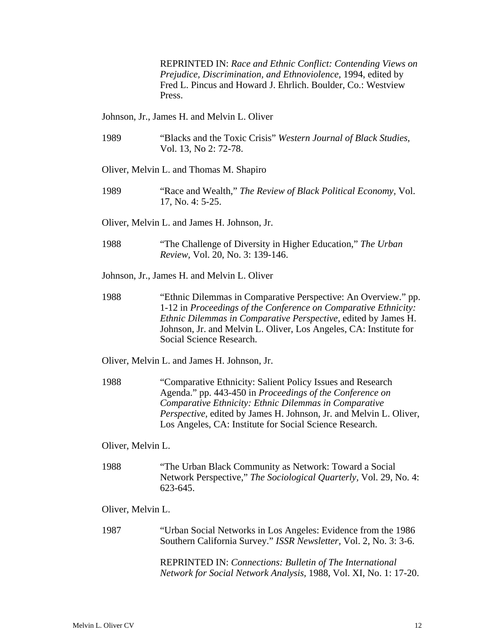REPRINTED IN: *Race and Ethnic Conflict: Contending Views on Prejudice, Discrimination, and Ethnoviolence,* 1994, edited by Fred L. Pincus and Howard J. Ehrlich. Boulder, Co.: Westview Press.

Johnson, Jr., James H. and Melvin L. Oliver

- 1989 "Blacks and the Toxic Crisis" *Western Journal of Black Studies,* Vol. 13, No 2: 72-78.
- Oliver, Melvin L. and Thomas M. Shapiro
- 1989 "Race and Wealth," *The Review of Black Political Economy,* Vol. 17, No. 4: 5-25.
- Oliver, Melvin L. and James H. Johnson, Jr.
- 1988 "The Challenge of Diversity in Higher Education," *The Urban Review,* Vol. 20, No. 3: 139-146.
- Johnson, Jr., James H. and Melvin L. Oliver
- 1988 "Ethnic Dilemmas in Comparative Perspective: An Overview." pp. 1-12 in *Proceedings of the Conference on Comparative Ethnicity: Ethnic Dilemmas in Comparative Perspective,* edited by James H. Johnson, Jr. and Melvin L. Oliver, Los Angeles, CA: Institute for Social Science Research.
- Oliver, Melvin L. and James H. Johnson, Jr.
- 1988 "Comparative Ethnicity: Salient Policy Issues and Research Agenda." pp. 443-450 in *Proceedings of the Conference on Comparative Ethnicity: Ethnic Dilemmas in Comparative Perspective,* edited by James H. Johnson, Jr. and Melvin L. Oliver, Los Angeles, CA: Institute for Social Science Research.

Oliver, Melvin L.

1988 "The Urban Black Community as Network: Toward a Social Network Perspective," *The Sociological Quarterly,* Vol. 29, No. 4: 623-645.

Oliver, Melvin L.

1987 "Urban Social Networks in Los Angeles: Evidence from the 1986 Southern California Survey." *ISSR Newsletter,* Vol. 2, No. 3: 3-6.

> REPRINTED IN: *Connections: Bulletin of The International Network for Social Network Analysis,* 1988, Vol. XI, No. 1: 17-20.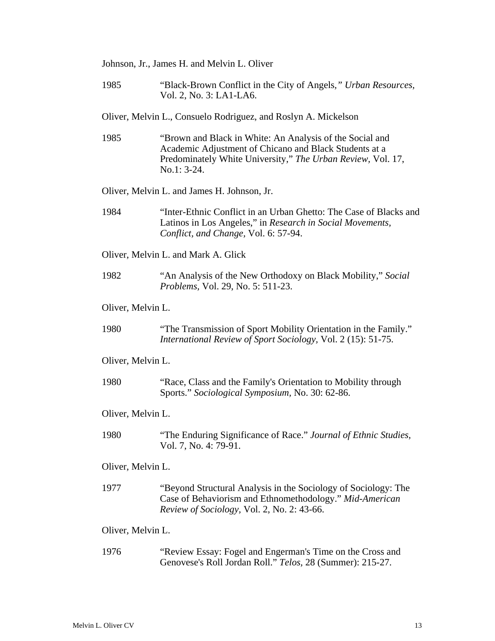Johnson, Jr., James H. and Melvin L. Oliver

1985 "Black-Brown Conflict in the City of Angels*," Urban Resources,* Vol. 2, No. 3: LA1-LA6.

Oliver, Melvin L., Consuelo Rodriguez, and Roslyn A. Mickelson

1985 "Brown and Black in White: An Analysis of the Social and Academic Adjustment of Chicano and Black Students at a Predominately White University," *The Urban Review,* Vol. 17, No.1: 3-24.

Oliver, Melvin L. and James H. Johnson, Jr.

1984 "Inter-Ethnic Conflict in an Urban Ghetto: The Case of Blacks and Latinos in Los Angeles," in *Research in Social Movements, Conflict, and Change,* Vol. 6: 57-94.

Oliver, Melvin L. and Mark A. Glick

1982 "An Analysis of the New Orthodoxy on Black Mobility," *Social Problems,* Vol. 29, No. 5: 511-23.

Oliver, Melvin L.

1980 "The Transmission of Sport Mobility Orientation in the Family." *International Review of Sport Sociology,* Vol. 2 (15): 51-75.

Oliver, Melvin L.

1980 "Race, Class and the Family's Orientation to Mobility through Sports." *Sociological Symposium,* No. 30: 62-86.

Oliver, Melvin L.

1980 "The Enduring Significance of Race." *Journal of Ethnic Studies,* Vol. 7, No. 4: 79-91.

Oliver, Melvin L.

1977 "Beyond Structural Analysis in the Sociology of Sociology: The Case of Behaviorism and Ethnomethodology." *Mid-American Review of Sociology,* Vol. 2, No. 2: 43-66.

Oliver, Melvin L.

1976 "Review Essay: Fogel and Engerman's Time on the Cross and Genovese's Roll Jordan Roll." *Telos,* 28 (Summer): 215-27.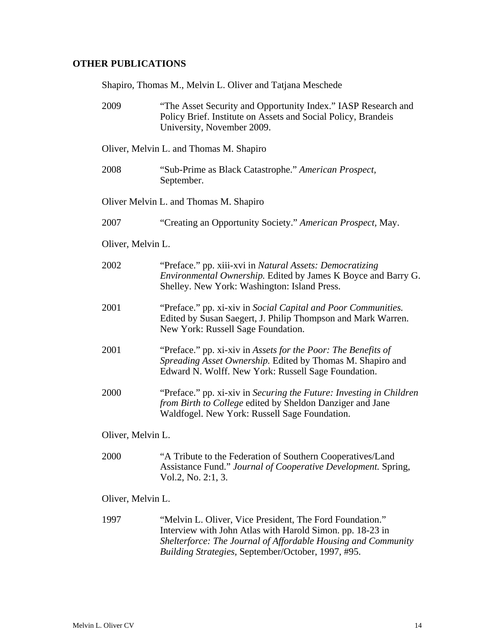### **OTHER PUBLICATIONS**

Shapiro, Thomas M., Melvin L. Oliver and Tatjana Meschede

| 2009              | "The Asset Security and Opportunity Index." IASP Research and<br>Policy Brief. Institute on Assets and Social Policy, Brandeis<br>University, November 2009.                       |
|-------------------|------------------------------------------------------------------------------------------------------------------------------------------------------------------------------------|
|                   | Oliver, Melvin L. and Thomas M. Shapiro                                                                                                                                            |
| 2008              | "Sub-Prime as Black Catastrophe." American Prospect,<br>September.                                                                                                                 |
|                   | Oliver Melvin L. and Thomas M. Shapiro                                                                                                                                             |
| 2007              | "Creating an Opportunity Society." American Prospect, May.                                                                                                                         |
| Oliver, Melvin L. |                                                                                                                                                                                    |
| 2002              | "Preface." pp. xiii-xvi in Natural Assets: Democratizing<br><i>Environmental Ownership.</i> Edited by James K Boyce and Barry G.<br>Shelley. New York: Washington: Island Press.   |
| 2001              | "Preface." pp. xi-xiv in Social Capital and Poor Communities.<br>Edited by Susan Saegert, J. Philip Thompson and Mark Warren.<br>New York: Russell Sage Foundation.                |
| 2001              | "Preface." pp. xi-xiv in Assets for the Poor: The Benefits of<br>Spreading Asset Ownership. Edited by Thomas M. Shapiro and<br>Edward N. Wolff. New York: Russell Sage Foundation. |
| 2000              | "Preface." pp. xi-xiv in Securing the Future: Investing in Children<br>from Birth to College edited by Sheldon Danziger and Jane<br>Waldfogel. New York: Russell Sage Foundation.  |
| Oliver, Melvin L. |                                                                                                                                                                                    |
| 2000              | "A Tribute to the Federation of Southern Cooperatives/Land<br>Assistance Fund." Journal of Cooperative Development. Spring,<br>Vol.2, No. 2:1, 3.                                  |
| Oliver, Melvin L. |                                                                                                                                                                                    |
| 1997              | "Melvin L. Oliver, Vice President, The Ford Foundation."<br>Interview with John Atlas with Harold Simon, pp. 18-23 in                                                              |

Interview with John Atlas with Harold Simon. pp. 18-23 in *Shelterforce: The Journal of Affordable Housing and Community Building Strategies,* September/October, 1997, #95.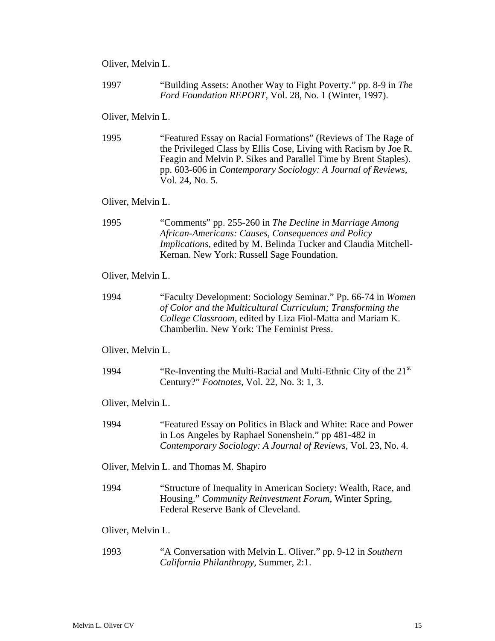Oliver, Melvin L.

1997 "Building Assets: Another Way to Fight Poverty." pp. 8-9 in *The Ford Foundation REPORT,* Vol. 28, No. 1 (Winter, 1997).

#### Oliver, Melvin L.

1995 "Featured Essay on Racial Formations" (Reviews of The Rage of the Privileged Class by Ellis Cose, Living with Racism by Joe R. Feagin and Melvin P. Sikes and Parallel Time by Brent Staples). pp. 603-606 in *Contemporary Sociology: A Journal of Reviews,* Vol. 24, No. 5.

#### Oliver, Melvin L.

1995 "Comments" pp. 255-260 in *The Decline in Marriage Among African-Americans: Causes, Consequences and Policy Implications,* edited by M. Belinda Tucker and Claudia Mitchell-Kernan. New York: Russell Sage Foundation.

#### Oliver, Melvin L.

1994 "Faculty Development: Sociology Seminar." Pp. 66-74 in *Women of Color and the Multicultural Curriculum; Transforming the College Classroom,* edited by Liza Fiol-Matta and Mariam K. Chamberlin. New York: The Feminist Press.

#### Oliver, Melvin L.

1994 "Re-Inventing the Multi-Racial and Multi-Ethnic City of the  $21<sup>st</sup>$ Century?" *Footnotes,* Vol. 22, No. 3: 1, 3.

Oliver, Melvin L.

- 1994 "Featured Essay on Politics in Black and White: Race and Power in Los Angeles by Raphael Sonenshein." pp 481-482 in *Contemporary Sociology: A Journal of Reviews,* Vol. 23, No. 4.
- Oliver, Melvin L. and Thomas M. Shapiro
- 1994 "Structure of Inequality in American Society: Wealth, Race, and Housing." *Community Reinvestment Forum,* Winter Spring, Federal Reserve Bank of Cleveland.
- Oliver, Melvin L.
- 1993 "A Conversation with Melvin L. Oliver." pp. 9-12 in *Southern California Philanthropy,* Summer, 2:1.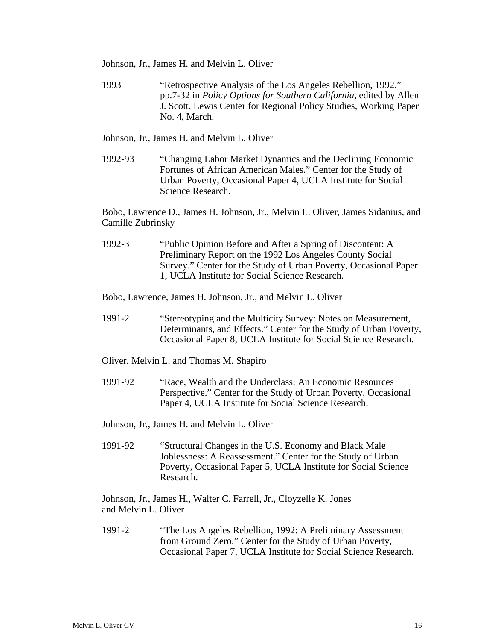Johnson, Jr., James H. and Melvin L. Oliver

1993 "Retrospective Analysis of the Los Angeles Rebellion, 1992." pp.7-32 in *Policy Options for Southern California,* edited by Allen J. Scott. Lewis Center for Regional Policy Studies, Working Paper No. 4, March.

Johnson, Jr., James H. and Melvin L. Oliver

1992-93 "Changing Labor Market Dynamics and the Declining Economic Fortunes of African American Males." Center for the Study of Urban Poverty, Occasional Paper 4, UCLA Institute for Social Science Research.

Bobo, Lawrence D., James H. Johnson, Jr., Melvin L. Oliver, James Sidanius, and Camille Zubrinsky

1992-3 "Public Opinion Before and After a Spring of Discontent: A Preliminary Report on the 1992 Los Angeles County Social Survey." Center for the Study of Urban Poverty, Occasional Paper 1, UCLA Institute for Social Science Research.

Bobo, Lawrence, James H. Johnson, Jr., and Melvin L. Oliver

- 1991-2 "Stereotyping and the Multicity Survey: Notes on Measurement, Determinants, and Effects." Center for the Study of Urban Poverty, Occasional Paper 8, UCLA Institute for Social Science Research.
- Oliver, Melvin L. and Thomas M. Shapiro
- 1991-92 "Race, Wealth and the Underclass: An Economic Resources Perspective." Center for the Study of Urban Poverty, Occasional Paper 4, UCLA Institute for Social Science Research.

Johnson, Jr., James H. and Melvin L. Oliver

1991-92 "Structural Changes in the U.S. Economy and Black Male Joblessness: A Reassessment." Center for the Study of Urban Poverty, Occasional Paper 5, UCLA Institute for Social Science Research.

Johnson, Jr., James H., Walter C. Farrell, Jr., Cloyzelle K. Jones and Melvin L. Oliver

1991-2 "The Los Angeles Rebellion, 1992: A Preliminary Assessment from Ground Zero." Center for the Study of Urban Poverty, Occasional Paper 7, UCLA Institute for Social Science Research.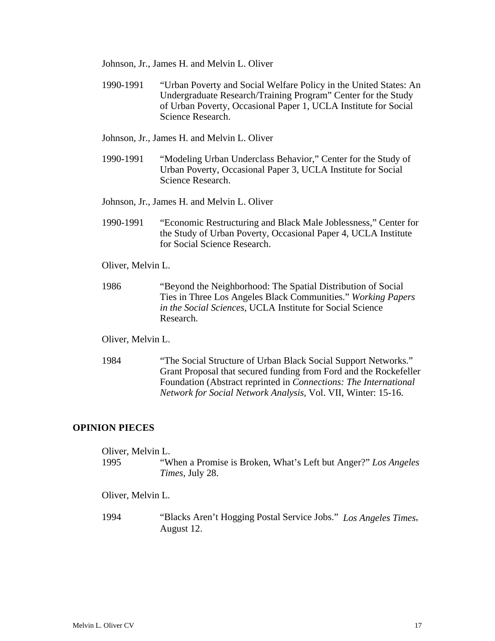Johnson, Jr., James H. and Melvin L. Oliver

1990-1991 "Urban Poverty and Social Welfare Policy in the United States: An Undergraduate Research/Training Program" Center for the Study of Urban Poverty, Occasional Paper 1, UCLA Institute for Social Science Research.

Johnson, Jr., James H. and Melvin L. Oliver

1990-1991 "Modeling Urban Underclass Behavior," Center for the Study of Urban Poverty, Occasional Paper 3, UCLA Institute for Social Science Research.

Johnson, Jr., James H. and Melvin L. Oliver

1990-1991 "Economic Restructuring and Black Male Joblessness," Center for the Study of Urban Poverty, Occasional Paper 4, UCLA Institute for Social Science Research.

Oliver, Melvin L.

1986 "Beyond the Neighborhood: The Spatial Distribution of Social Ties in Three Los Angeles Black Communities." *Working Papers in the Social Sciences,* UCLA Institute for Social Science Research.

Oliver, Melvin L.

1984 "The Social Structure of Urban Black Social Support Networks." Grant Proposal that secured funding from Ford and the Rockefeller Foundation (Abstract reprinted in *Connections: The International Network for Social Network Analysis,* Vol. VII, Winter: 15-16.

#### **OPINION PIECES**

| Oliver, Melvin L. |                                                                |
|-------------------|----------------------------------------------------------------|
| 1995              | "When a Promise is Broken, What's Left but Anger?" Los Angeles |
|                   | <i>Times</i> , July 28.                                        |
| Oliver, Melvin L. |                                                                |

1994 "Blacks Aren't Hogging Postal Service Jobs." *Los Angeles Times*, August 12.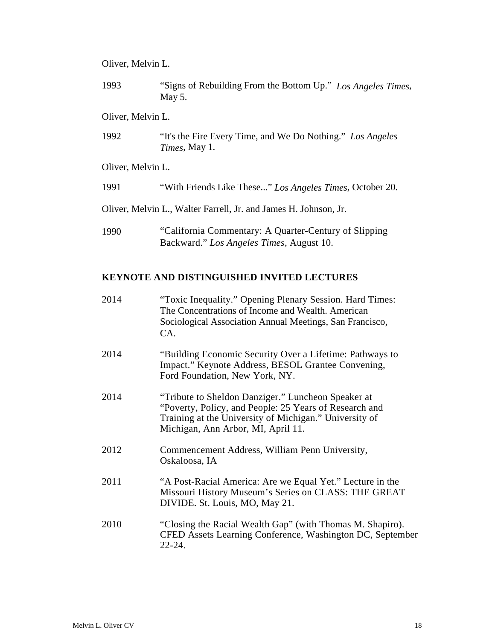#### Oliver, Melvin L.

1993 "Signs of Rebuilding From the Bottom Up." *Los Angeles Times*, May 5.

#### Oliver, Melvin L.

1992 "It's the Fire Every Time, and We Do Nothing." *Los Angeles Times*, May 1.

Oliver, Melvin L.

1991 "With Friends Like These..." *Los Angeles Times*, October 20.

Oliver, Melvin L., Walter Farrell, Jr. and James H. Johnson, Jr.

1990 "California Commentary: A Quarter-Century of Slipping Backward." *Los Angeles Times,* August 10.

#### **KEYNOTE AND DISTINGUISHED INVITED LECTURES**

2014 "Toxic Inequality." Opening Plenary Session. Hard Times: The Concentrations of Income and Wealth. American Sociological Association Annual Meetings, San Francisco, CA. 2014 "Building Economic Security Over a Lifetime: Pathways to Impact." Keynote Address, BESOL Grantee Convening, Ford Foundation, New York, NY. 2014 "Tribute to Sheldon Danziger." Luncheon Speaker at "Poverty, Policy, and People: 25 Years of Research and Training at the University of Michigan." University of Michigan, Ann Arbor, MI, April 11. 2012 Commencement Address, William Penn University, Oskaloosa, IA 2011 "A Post-Racial America: Are we Equal Yet." Lecture in the Missouri History Museum's Series on CLASS: THE GREAT DIVIDE. St. Louis, MO, May 21. 2010 "Closing the Racial Wealth Gap" (with Thomas M. Shapiro). CFED Assets Learning Conference, Washington DC, September 22-24.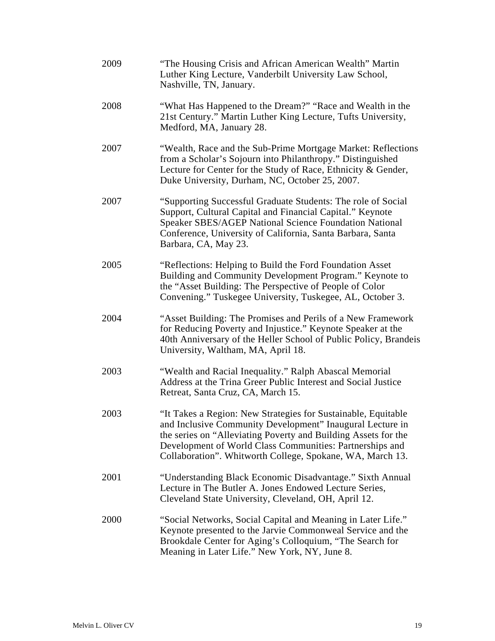| 2009 | "The Housing Crisis and African American Wealth" Martin<br>Luther King Lecture, Vanderbilt University Law School,<br>Nashville, TN, January.                                                                                                                                                                          |
|------|-----------------------------------------------------------------------------------------------------------------------------------------------------------------------------------------------------------------------------------------------------------------------------------------------------------------------|
| 2008 | "What Has Happened to the Dream?" "Race and Wealth in the<br>21st Century." Martin Luther King Lecture, Tufts University,<br>Medford, MA, January 28.                                                                                                                                                                 |
| 2007 | "Wealth, Race and the Sub-Prime Mortgage Market: Reflections<br>from a Scholar's Sojourn into Philanthropy." Distinguished<br>Lecture for Center for the Study of Race, Ethnicity & Gender,<br>Duke University, Durham, NC, October 25, 2007.                                                                         |
| 2007 | "Supporting Successful Graduate Students: The role of Social<br>Support, Cultural Capital and Financial Capital." Keynote<br>Speaker SBES/AGEP National Science Foundation National<br>Conference, University of California, Santa Barbara, Santa<br>Barbara, CA, May 23.                                             |
| 2005 | "Reflections: Helping to Build the Ford Foundation Asset<br>Building and Community Development Program." Keynote to<br>the "Asset Building: The Perspective of People of Color<br>Convening." Tuskegee University, Tuskegee, AL, October 3.                                                                           |
| 2004 | "Asset Building: The Promises and Perils of a New Framework<br>for Reducing Poverty and Injustice." Keynote Speaker at the<br>40th Anniversary of the Heller School of Public Policy, Brandeis<br>University, Waltham, MA, April 18.                                                                                  |
| 2003 | "Wealth and Racial Inequality." Ralph Abascal Memorial<br>Address at the Trina Greer Public Interest and Social Justice<br>Retreat, Santa Cruz, CA, March 15.                                                                                                                                                         |
| 2003 | "It Takes a Region: New Strategies for Sustainable, Equitable<br>and Inclusive Community Development" Inaugural Lecture in<br>the series on "Alleviating Poverty and Building Assets for the<br>Development of World Class Communities: Partnerships and<br>Collaboration". Whitworth College, Spokane, WA, March 13. |
| 2001 | "Understanding Black Economic Disadvantage." Sixth Annual<br>Lecture in The Butler A. Jones Endowed Lecture Series,<br>Cleveland State University, Cleveland, OH, April 12.                                                                                                                                           |
| 2000 | "Social Networks, Social Capital and Meaning in Later Life."<br>Keynote presented to the Jarvie Commonweal Service and the<br>Brookdale Center for Aging's Colloquium, "The Search for<br>Meaning in Later Life." New York, NY, June 8.                                                                               |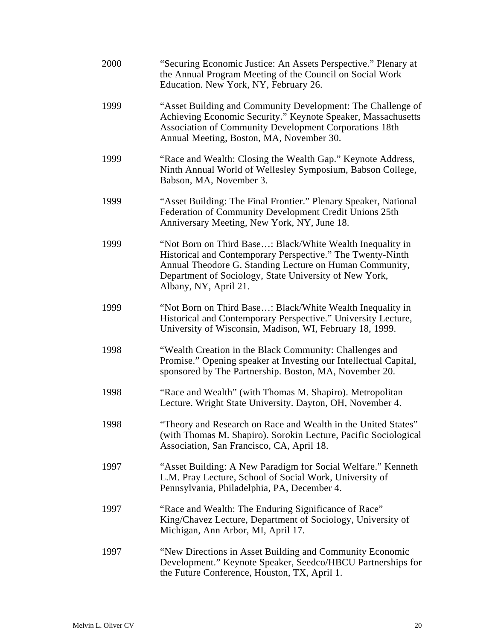| 2000 | "Securing Economic Justice: An Assets Perspective." Plenary at<br>the Annual Program Meeting of the Council on Social Work<br>Education. New York, NY, February 26.                                                                                                   |
|------|-----------------------------------------------------------------------------------------------------------------------------------------------------------------------------------------------------------------------------------------------------------------------|
| 1999 | "Asset Building and Community Development: The Challenge of<br>Achieving Economic Security." Keynote Speaker, Massachusetts<br><b>Association of Community Development Corporations 18th</b><br>Annual Meeting, Boston, MA, November 30.                              |
| 1999 | "Race and Wealth: Closing the Wealth Gap." Keynote Address,<br>Ninth Annual World of Wellesley Symposium, Babson College,<br>Babson, MA, November 3.                                                                                                                  |
| 1999 | "Asset Building: The Final Frontier." Plenary Speaker, National<br>Federation of Community Development Credit Unions 25th<br>Anniversary Meeting, New York, NY, June 18.                                                                                              |
| 1999 | "Not Born on Third Base: Black/White Wealth Inequality in<br>Historical and Contemporary Perspective." The Twenty-Ninth<br>Annual Theodore G. Standing Lecture on Human Community,<br>Department of Sociology, State University of New York,<br>Albany, NY, April 21. |
| 1999 | "Not Born on Third Base: Black/White Wealth Inequality in<br>Historical and Contemporary Perspective." University Lecture,<br>University of Wisconsin, Madison, WI, February 18, 1999.                                                                                |
| 1998 | "Wealth Creation in the Black Community: Challenges and<br>Promise." Opening speaker at Investing our Intellectual Capital,<br>sponsored by The Partnership. Boston, MA, November 20.                                                                                 |
| 1998 | "Race and Wealth" (with Thomas M. Shapiro). Metropolitan<br>Lecture. Wright State University. Dayton, OH, November 4.                                                                                                                                                 |
| 1998 | "Theory and Research on Race and Wealth in the United States"<br>(with Thomas M. Shapiro). Sorokin Lecture, Pacific Sociological<br>Association, San Francisco, CA, April 18.                                                                                         |
| 1997 | "Asset Building: A New Paradigm for Social Welfare." Kenneth<br>L.M. Pray Lecture, School of Social Work, University of<br>Pennsylvania, Philadelphia, PA, December 4.                                                                                                |
| 1997 | "Race and Wealth: The Enduring Significance of Race"<br>King/Chavez Lecture, Department of Sociology, University of<br>Michigan, Ann Arbor, MI, April 17.                                                                                                             |
| 1997 | "New Directions in Asset Building and Community Economic<br>Development." Keynote Speaker, Seedco/HBCU Partnerships for<br>the Future Conference, Houston, TX, April 1.                                                                                               |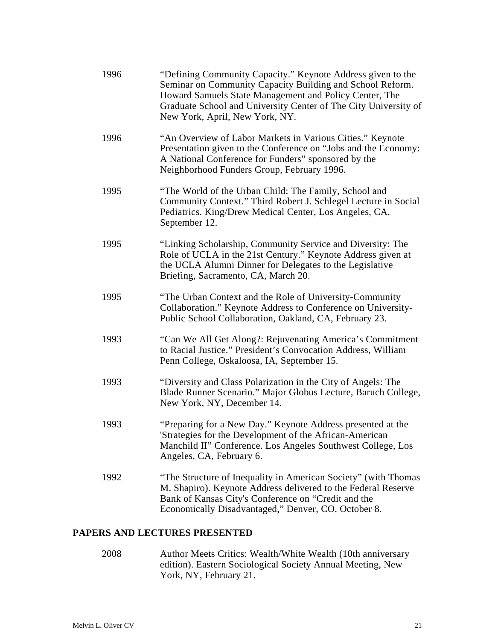| 1996 | "Defining Community Capacity." Keynote Address given to the<br>Seminar on Community Capacity Building and School Reform.<br>Howard Samuels State Management and Policy Center, The<br>Graduate School and University Center of The City University of<br>New York, April, New York, NY. |
|------|-----------------------------------------------------------------------------------------------------------------------------------------------------------------------------------------------------------------------------------------------------------------------------------------|
| 1996 | "An Overview of Labor Markets in Various Cities." Keynote<br>Presentation given to the Conference on "Jobs and the Economy:<br>A National Conference for Funders" sponsored by the<br>Neighborhood Funders Group, February 1996.                                                        |
| 1995 | "The World of the Urban Child: The Family, School and<br>Community Context." Third Robert J. Schlegel Lecture in Social<br>Pediatrics. King/Drew Medical Center, Los Angeles, CA,<br>September 12.                                                                                      |
| 1995 | "Linking Scholarship, Community Service and Diversity: The<br>Role of UCLA in the 21st Century." Keynote Address given at<br>the UCLA Alumni Dinner for Delegates to the Legislative<br>Briefing, Sacramento, CA, March 20.                                                             |
| 1995 | "The Urban Context and the Role of University-Community<br>Collaboration." Keynote Address to Conference on University-<br>Public School Collaboration, Oakland, CA, February 23.                                                                                                       |
| 1993 | "Can We All Get Along?: Rejuvenating America's Commitment<br>to Racial Justice." President's Convocation Address, William<br>Penn College, Oskaloosa, IA, September 15.                                                                                                                 |
| 1993 | "Diversity and Class Polarization in the City of Angels: The<br>Blade Runner Scenario." Major Globus Lecture, Baruch College,<br>New York, NY, December 14.                                                                                                                             |
| 1993 | "Preparing for a New Day." Keynote Address presented at the<br>'Strategies for the Development of the African-American<br>Manchild II" Conference. Los Angeles Southwest College, Los<br>Angeles, CA, February 6.                                                                       |
| 1992 | "The Structure of Inequality in American Society" (with Thomas<br>M. Shapiro). Keynote Address delivered to the Federal Reserve<br>Bank of Kansas City's Conference on "Credit and the<br>Economically Disadvantaged," Denver, CO, October 8.                                           |

# **PAPERS AND LECTURES PRESENTED**

2008 Author Meets Critics: Wealth/White Wealth (10th anniversary edition). Eastern Sociological Society Annual Meeting, New York, NY, February 21.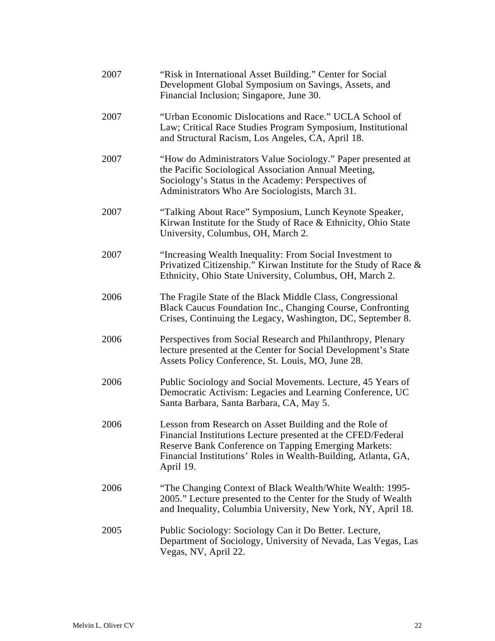| 2007 | "Risk in International Asset Building." Center for Social<br>Development Global Symposium on Savings, Assets, and<br>Financial Inclusion; Singapore, June 30.                                                                                                 |
|------|---------------------------------------------------------------------------------------------------------------------------------------------------------------------------------------------------------------------------------------------------------------|
| 2007 | "Urban Economic Dislocations and Race." UCLA School of<br>Law; Critical Race Studies Program Symposium, Institutional<br>and Structural Racism, Los Angeles, CA, April 18.                                                                                    |
| 2007 | "How do Administrators Value Sociology." Paper presented at<br>the Pacific Sociological Association Annual Meeting,<br>Sociology's Status in the Academy: Perspectives of<br>Administrators Who Are Sociologists, March 31.                                   |
| 2007 | "Talking About Race" Symposium, Lunch Keynote Speaker,<br>Kirwan Institute for the Study of Race & Ethnicity, Ohio State<br>University, Columbus, OH, March 2.                                                                                                |
| 2007 | "Increasing Wealth Inequality: From Social Investment to<br>Privatized Citizenship." Kirwan Institute for the Study of Race &<br>Ethnicity, Ohio State University, Columbus, OH, March 2.                                                                     |
| 2006 | The Fragile State of the Black Middle Class, Congressional<br>Black Caucus Foundation Inc., Changing Course, Confronting<br>Crises, Continuing the Legacy, Washington, DC, September 8.                                                                       |
| 2006 | Perspectives from Social Research and Philanthropy, Plenary<br>lecture presented at the Center for Social Development's State<br>Assets Policy Conference, St. Louis, MO, June 28.                                                                            |
| 2006 | Public Sociology and Social Movements. Lecture, 45 Years of<br>Democratic Activism: Legacies and Learning Conference, UC<br>Santa Barbara, Santa Barbara, CA, May 5.                                                                                          |
| 2006 | Lesson from Research on Asset Building and the Role of<br>Financial Institutions Lecture presented at the CFED/Federal<br>Reserve Bank Conference on Tapping Emerging Markets:<br>Financial Institutions' Roles in Wealth-Building, Atlanta, GA,<br>April 19. |
| 2006 | "The Changing Context of Black Wealth/White Wealth: 1995-<br>2005." Lecture presented to the Center for the Study of Wealth<br>and Inequality, Columbia University, New York, NY, April 18.                                                                   |
| 2005 | Public Sociology: Sociology Can it Do Better. Lecture,<br>Department of Sociology, University of Nevada, Las Vegas, Las<br>Vegas, NV, April 22.                                                                                                               |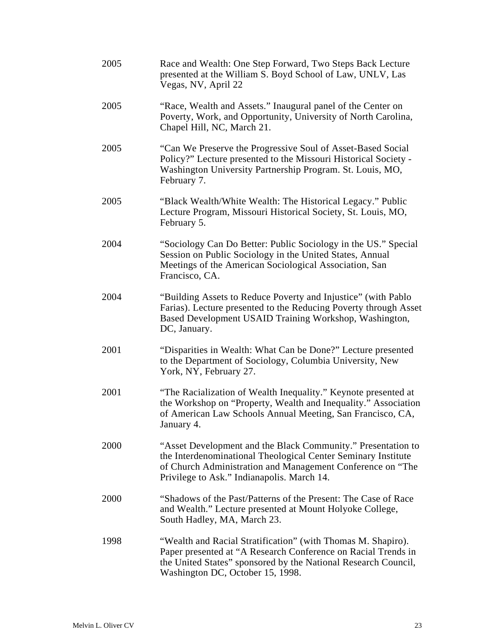| 2005 | Race and Wealth: One Step Forward, Two Steps Back Lecture<br>presented at the William S. Boyd School of Law, UNLV, Las<br>Vegas, NV, April 22                                                                                             |
|------|-------------------------------------------------------------------------------------------------------------------------------------------------------------------------------------------------------------------------------------------|
| 2005 | "Race, Wealth and Assets." Inaugural panel of the Center on<br>Poverty, Work, and Opportunity, University of North Carolina,<br>Chapel Hill, NC, March 21.                                                                                |
| 2005 | "Can We Preserve the Progressive Soul of Asset-Based Social<br>Policy?" Lecture presented to the Missouri Historical Society -<br>Washington University Partnership Program. St. Louis, MO,<br>February 7.                                |
| 2005 | "Black Wealth/White Wealth: The Historical Legacy." Public<br>Lecture Program, Missouri Historical Society, St. Louis, MO,<br>February 5.                                                                                                 |
| 2004 | "Sociology Can Do Better: Public Sociology in the US." Special<br>Session on Public Sociology in the United States, Annual<br>Meetings of the American Sociological Association, San<br>Francisco, CA.                                    |
| 2004 | "Building Assets to Reduce Poverty and Injustice" (with Pablo<br>Farias). Lecture presented to the Reducing Poverty through Asset<br>Based Development USAID Training Workshop, Washington,<br>DC, January.                               |
| 2001 | "Disparities in Wealth: What Can be Done?" Lecture presented<br>to the Department of Sociology, Columbia University, New<br>York, NY, February 27.                                                                                        |
| 2001 | "The Racialization of Wealth Inequality." Keynote presented at<br>the Workshop on "Property, Wealth and Inequality." Association<br>of American Law Schools Annual Meeting, San Francisco, CA,<br>January 4.                              |
| 2000 | "Asset Development and the Black Community." Presentation to<br>the Interdenominational Theological Center Seminary Institute<br>of Church Administration and Management Conference on "The<br>Privilege to Ask." Indianapolis. March 14. |
| 2000 | "Shadows of the Past/Patterns of the Present: The Case of Race<br>and Wealth." Lecture presented at Mount Holyoke College,<br>South Hadley, MA, March 23.                                                                                 |
| 1998 | "Wealth and Racial Stratification" (with Thomas M. Shapiro).<br>Paper presented at "A Research Conference on Racial Trends in<br>the United States" sponsored by the National Research Council,<br>Washington DC, October 15, 1998.       |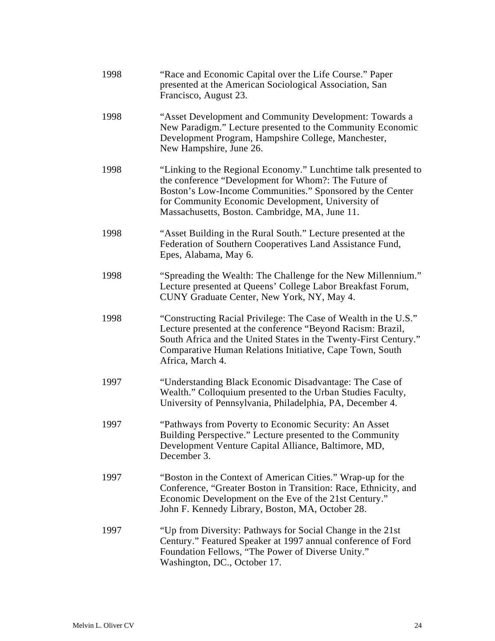| 1998 | "Race and Economic Capital over the Life Course." Paper<br>presented at the American Sociological Association, San<br>Francisco, August 23.                                                                                                                                                |
|------|--------------------------------------------------------------------------------------------------------------------------------------------------------------------------------------------------------------------------------------------------------------------------------------------|
| 1998 | "Asset Development and Community Development: Towards a<br>New Paradigm." Lecture presented to the Community Economic<br>Development Program, Hampshire College, Manchester,<br>New Hampshire, June 26.                                                                                    |
| 1998 | "Linking to the Regional Economy." Lunchtime talk presented to<br>the conference "Development for Whom?: The Future of<br>Boston's Low-Income Communities." Sponsored by the Center<br>for Community Economic Development, University of<br>Massachusetts, Boston. Cambridge, MA, June 11. |
| 1998 | "Asset Building in the Rural South." Lecture presented at the<br>Federation of Southern Cooperatives Land Assistance Fund,<br>Epes, Alabama, May 6.                                                                                                                                        |
| 1998 | "Spreading the Wealth: The Challenge for the New Millennium."<br>Lecture presented at Queens' College Labor Breakfast Forum,<br>CUNY Graduate Center, New York, NY, May 4.                                                                                                                 |
| 1998 | "Constructing Racial Privilege: The Case of Wealth in the U.S."<br>Lecture presented at the conference "Beyond Racism: Brazil,<br>South Africa and the United States in the Twenty-First Century."<br>Comparative Human Relations Initiative, Cape Town, South<br>Africa, March 4.         |
| 1997 | "Understanding Black Economic Disadvantage: The Case of<br>Wealth." Colloquium presented to the Urban Studies Faculty,<br>University of Pennsylvania, Philadelphia, PA, December 4.                                                                                                        |
| 1997 | "Pathways from Poverty to Economic Security: An Asset<br>Building Perspective." Lecture presented to the Community<br>Development Venture Capital Alliance, Baltimore, MD,<br>December 3.                                                                                                  |
| 1997 | "Boston in the Context of American Cities." Wrap-up for the<br>Conference, "Greater Boston in Transition: Race, Ethnicity, and<br>Economic Development on the Eve of the 21st Century."<br>John F. Kennedy Library, Boston, MA, October 28.                                                |
| 1997 | "Up from Diversity: Pathways for Social Change in the 21st<br>Century." Featured Speaker at 1997 annual conference of Ford<br>Foundation Fellows, "The Power of Diverse Unity."<br>Washington, DC., October 17.                                                                            |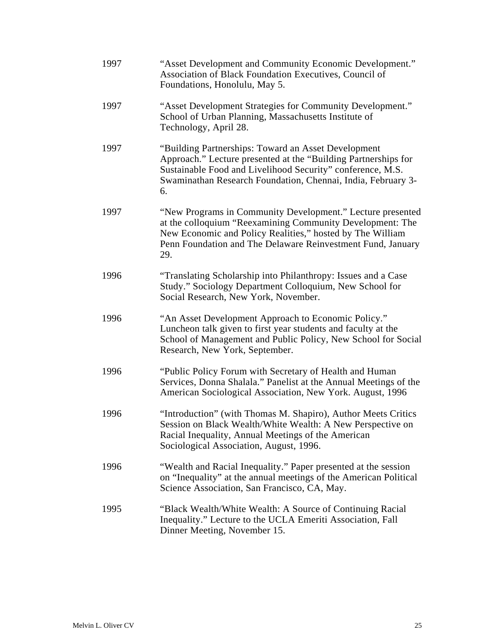| 1997 | "Asset Development and Community Economic Development."<br>Association of Black Foundation Executives, Council of<br>Foundations, Honolulu, May 5.                                                                                                         |
|------|------------------------------------------------------------------------------------------------------------------------------------------------------------------------------------------------------------------------------------------------------------|
| 1997 | "Asset Development Strategies for Community Development."<br>School of Urban Planning, Massachusetts Institute of<br>Technology, April 28.                                                                                                                 |
| 1997 | "Building Partnerships: Toward an Asset Development<br>Approach." Lecture presented at the "Building Partnerships for<br>Sustainable Food and Livelihood Security" conference, M.S.<br>Swaminathan Research Foundation, Chennai, India, February 3-<br>6.  |
| 1997 | "New Programs in Community Development." Lecture presented<br>at the colloquium "Reexamining Community Development: The<br>New Economic and Policy Realities," hosted by The William<br>Penn Foundation and The Delaware Reinvestment Fund, January<br>29. |
| 1996 | "Translating Scholarship into Philanthropy: Issues and a Case<br>Study." Sociology Department Colloquium, New School for<br>Social Research, New York, November.                                                                                           |
| 1996 | "An Asset Development Approach to Economic Policy."<br>Luncheon talk given to first year students and faculty at the<br>School of Management and Public Policy, New School for Social<br>Research, New York, September.                                    |
| 1996 | "Public Policy Forum with Secretary of Health and Human<br>Services, Donna Shalala." Panelist at the Annual Meetings of the<br>American Sociological Association, New York. August, 1996                                                                   |
| 1996 | "Introduction" (with Thomas M. Shapiro), Author Meets Critics<br>Session on Black Wealth/White Wealth: A New Perspective on<br>Racial Inequality, Annual Meetings of the American<br>Sociological Association, August, 1996.                               |
| 1996 | "Wealth and Racial Inequality." Paper presented at the session<br>on "Inequality" at the annual meetings of the American Political<br>Science Association, San Francisco, CA, May.                                                                         |
| 1995 | "Black Wealth/White Wealth: A Source of Continuing Racial<br>Inequality." Lecture to the UCLA Emeriti Association, Fall<br>Dinner Meeting, November 15.                                                                                                    |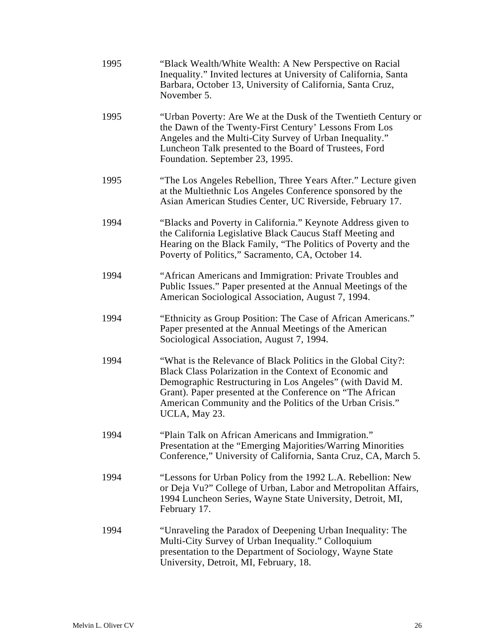| 1995 | "Black Wealth/White Wealth: A New Perspective on Racial<br>Inequality." Invited lectures at University of California, Santa<br>Barbara, October 13, University of California, Santa Cruz,<br>November 5.                                                                                                                         |
|------|----------------------------------------------------------------------------------------------------------------------------------------------------------------------------------------------------------------------------------------------------------------------------------------------------------------------------------|
| 1995 | "Urban Poverty: Are We at the Dusk of the Twentieth Century or<br>the Dawn of the Twenty-First Century' Lessons From Los<br>Angeles and the Multi-City Survey of Urban Inequality."<br>Luncheon Talk presented to the Board of Trustees, Ford<br>Foundation. September 23, 1995.                                                 |
| 1995 | "The Los Angeles Rebellion, Three Years After." Lecture given<br>at the Multiethnic Los Angeles Conference sponsored by the<br>Asian American Studies Center, UC Riverside, February 17.                                                                                                                                         |
| 1994 | "Blacks and Poverty in California." Keynote Address given to<br>the California Legislative Black Caucus Staff Meeting and<br>Hearing on the Black Family, "The Politics of Poverty and the<br>Poverty of Politics," Sacramento, CA, October 14.                                                                                  |
| 1994 | "African Americans and Immigration: Private Troubles and<br>Public Issues." Paper presented at the Annual Meetings of the<br>American Sociological Association, August 7, 1994.                                                                                                                                                  |
| 1994 | "Ethnicity as Group Position: The Case of African Americans."<br>Paper presented at the Annual Meetings of the American<br>Sociological Association, August 7, 1994.                                                                                                                                                             |
| 1994 | "What is the Relevance of Black Politics in the Global City?:<br>Black Class Polarization in the Context of Economic and<br>Demographic Restructuring in Los Angeles" (with David M.<br>Grant). Paper presented at the Conference on "The African"<br>American Community and the Politics of the Urban Crisis."<br>UCLA, May 23. |
| 1994 | "Plain Talk on African Americans and Immigration."<br>Presentation at the "Emerging Majorities/Warring Minorities<br>Conference," University of California, Santa Cruz, CA, March 5.                                                                                                                                             |
| 1994 | "Lessons for Urban Policy from the 1992 L.A. Rebellion: New<br>or Deja Vu?" College of Urban, Labor and Metropolitan Affairs,<br>1994 Luncheon Series, Wayne State University, Detroit, MI,<br>February 17.                                                                                                                      |
| 1994 | "Unraveling the Paradox of Deepening Urban Inequality: The<br>Multi-City Survey of Urban Inequality." Colloquium<br>presentation to the Department of Sociology, Wayne State<br>University, Detroit, MI, February, 18.                                                                                                           |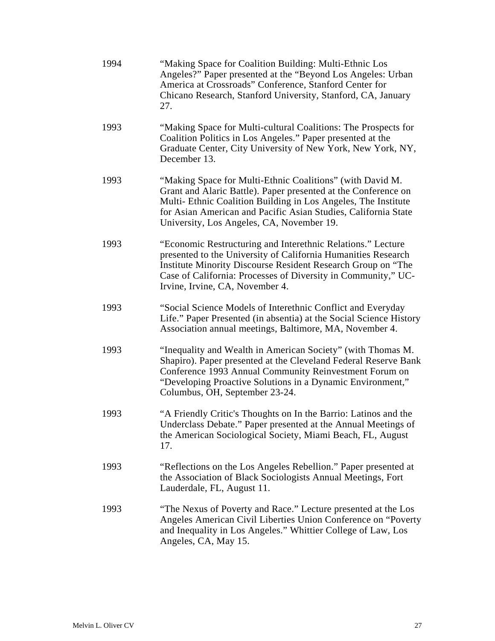| 1994 | "Making Space for Coalition Building: Multi-Ethnic Los<br>Angeles?" Paper presented at the "Beyond Los Angeles: Urban<br>America at Crossroads" Conference, Stanford Center for<br>Chicano Research, Stanford University, Stanford, CA, January<br>27.                                                      |
|------|-------------------------------------------------------------------------------------------------------------------------------------------------------------------------------------------------------------------------------------------------------------------------------------------------------------|
| 1993 | "Making Space for Multi-cultural Coalitions: The Prospects for<br>Coalition Politics in Los Angeles." Paper presented at the<br>Graduate Center, City University of New York, New York, NY,<br>December 13.                                                                                                 |
| 1993 | "Making Space for Multi-Ethnic Coalitions" (with David M.<br>Grant and Alaric Battle). Paper presented at the Conference on<br>Multi-Ethnic Coalition Building in Los Angeles, The Institute<br>for Asian American and Pacific Asian Studies, California State<br>University, Los Angeles, CA, November 19. |
| 1993 | "Economic Restructuring and Interethnic Relations." Lecture<br>presented to the University of California Humanities Research<br>Institute Minority Discourse Resident Research Group on "The<br>Case of California: Processes of Diversity in Community," UC-<br>Irvine, Irvine, CA, November 4.            |
| 1993 | "Social Science Models of Interethnic Conflict and Everyday<br>Life." Paper Presented (in absentia) at the Social Science History<br>Association annual meetings, Baltimore, MA, November 4.                                                                                                                |
| 1993 | "Inequality and Wealth in American Society" (with Thomas M.<br>Shapiro). Paper presented at the Cleveland Federal Reserve Bank<br>Conference 1993 Annual Community Reinvestment Forum on<br>"Developing Proactive Solutions in a Dynamic Environment,"<br>Columbus, OH, September 23-24.                    |
| 1993 | "A Friendly Critic's Thoughts on In the Barrio: Latinos and the<br>Underclass Debate." Paper presented at the Annual Meetings of<br>the American Sociological Society, Miami Beach, FL, August<br>17.                                                                                                       |
| 1993 | "Reflections on the Los Angeles Rebellion." Paper presented at<br>the Association of Black Sociologists Annual Meetings, Fort<br>Lauderdale, FL, August 11.                                                                                                                                                 |
| 1993 | "The Nexus of Poverty and Race." Lecture presented at the Los<br>Angeles American Civil Liberties Union Conference on "Poverty<br>and Inequality in Los Angeles." Whittier College of Law, Los<br>Angeles, CA, May 15.                                                                                      |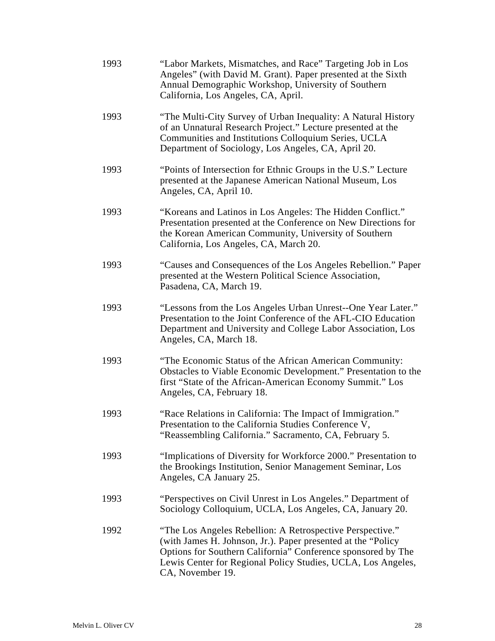| 1993 | "Labor Markets, Mismatches, and Race" Targeting Job in Los<br>Angeles" (with David M. Grant). Paper presented at the Sixth<br>Annual Demographic Workshop, University of Southern<br>California, Los Angeles, CA, April.                                                      |
|------|-------------------------------------------------------------------------------------------------------------------------------------------------------------------------------------------------------------------------------------------------------------------------------|
| 1993 | "The Multi-City Survey of Urban Inequality: A Natural History<br>of an Unnatural Research Project." Lecture presented at the<br>Communities and Institutions Colloquium Series, UCLA<br>Department of Sociology, Los Angeles, CA, April 20.                                   |
| 1993 | "Points of Intersection for Ethnic Groups in the U.S." Lecture<br>presented at the Japanese American National Museum, Los<br>Angeles, CA, April 10.                                                                                                                           |
| 1993 | "Koreans and Latinos in Los Angeles: The Hidden Conflict."<br>Presentation presented at the Conference on New Directions for<br>the Korean American Community, University of Southern<br>California, Los Angeles, CA, March 20.                                               |
| 1993 | "Causes and Consequences of the Los Angeles Rebellion." Paper<br>presented at the Western Political Science Association,<br>Pasadena, CA, March 19.                                                                                                                           |
| 1993 | "Lessons from the Los Angeles Urban Unrest--One Year Later."<br>Presentation to the Joint Conference of the AFL-CIO Education<br>Department and University and College Labor Association, Los<br>Angeles, CA, March 18.                                                       |
| 1993 | "The Economic Status of the African American Community:<br>Obstacles to Viable Economic Development." Presentation to the<br>first "State of the African-American Economy Summit." Los<br>Angeles, CA, February 18.                                                           |
| 1993 | "Race Relations in California: The Impact of Immigration."<br>Presentation to the California Studies Conference V,<br>"Reassembling California." Sacramento, CA, February 5.                                                                                                  |
| 1993 | "Implications of Diversity for Workforce 2000." Presentation to<br>the Brookings Institution, Senior Management Seminar, Los<br>Angeles, CA January 25.                                                                                                                       |
| 1993 | "Perspectives on Civil Unrest in Los Angeles." Department of<br>Sociology Colloquium, UCLA, Los Angeles, CA, January 20.                                                                                                                                                      |
| 1992 | "The Los Angeles Rebellion: A Retrospective Perspective."<br>(with James H. Johnson, Jr.). Paper presented at the "Policy<br>Options for Southern California" Conference sponsored by The<br>Lewis Center for Regional Policy Studies, UCLA, Los Angeles,<br>CA, November 19. |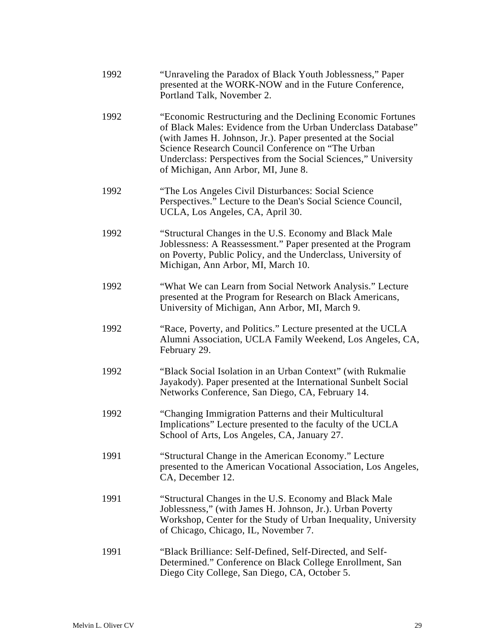| 1992 | "Unraveling the Paradox of Black Youth Joblessness," Paper<br>presented at the WORK-NOW and in the Future Conference,<br>Portland Talk, November 2.                                                                                                                                                                                                       |
|------|-----------------------------------------------------------------------------------------------------------------------------------------------------------------------------------------------------------------------------------------------------------------------------------------------------------------------------------------------------------|
| 1992 | "Economic Restructuring and the Declining Economic Fortunes"<br>of Black Males: Evidence from the Urban Underclass Database"<br>(with James H. Johnson, Jr.). Paper presented at the Social<br>Science Research Council Conference on "The Urban<br>Underclass: Perspectives from the Social Sciences," University<br>of Michigan, Ann Arbor, MI, June 8. |
| 1992 | "The Los Angeles Civil Disturbances: Social Science"<br>Perspectives." Lecture to the Dean's Social Science Council,<br>UCLA, Los Angeles, CA, April 30.                                                                                                                                                                                                  |
| 1992 | "Structural Changes in the U.S. Economy and Black Male<br>Joblessness: A Reassessment." Paper presented at the Program<br>on Poverty, Public Policy, and the Underclass, University of<br>Michigan, Ann Arbor, MI, March 10.                                                                                                                              |
| 1992 | "What We can Learn from Social Network Analysis." Lecture<br>presented at the Program for Research on Black Americans,<br>University of Michigan, Ann Arbor, MI, March 9.                                                                                                                                                                                 |
| 1992 | "Race, Poverty, and Politics." Lecture presented at the UCLA<br>Alumni Association, UCLA Family Weekend, Los Angeles, CA,<br>February 29.                                                                                                                                                                                                                 |
| 1992 | "Black Social Isolation in an Urban Context" (with Rukmalie<br>Jayakody). Paper presented at the International Sunbelt Social<br>Networks Conference, San Diego, CA, February 14.                                                                                                                                                                         |
| 1992 | "Changing Immigration Patterns and their Multicultural<br>Implications" Lecture presented to the faculty of the UCLA<br>School of Arts, Los Angeles, CA, January 27.                                                                                                                                                                                      |
| 1991 | "Structural Change in the American Economy." Lecture<br>presented to the American Vocational Association, Los Angeles,<br>CA, December 12.                                                                                                                                                                                                                |
| 1991 | "Structural Changes in the U.S. Economy and Black Male<br>Joblessness," (with James H. Johnson, Jr.). Urban Poverty<br>Workshop, Center for the Study of Urban Inequality, University<br>of Chicago, Chicago, IL, November 7.                                                                                                                             |
| 1991 | "Black Brilliance: Self-Defined, Self-Directed, and Self-<br>Determined." Conference on Black College Enrollment, San<br>Diego City College, San Diego, CA, October 5.                                                                                                                                                                                    |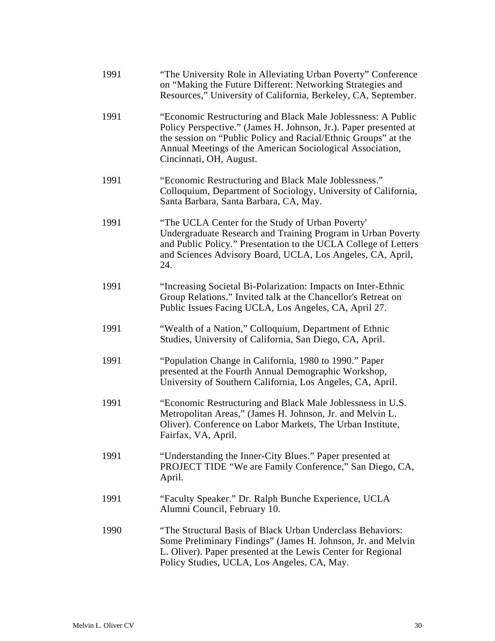| 1991 | "The University Role in Alleviating Urban Poverty" Conference<br>on "Making the Future Different: Networking Strategies and<br>Resources," University of California, Berkeley, CA, September.                                                                                              |
|------|--------------------------------------------------------------------------------------------------------------------------------------------------------------------------------------------------------------------------------------------------------------------------------------------|
| 1991 | "Economic Restructuring and Black Male Joblessness: A Public<br>Policy Perspective." (James H. Johnson, Jr.). Paper presented at<br>the session on "Public Policy and Racial/Ethnic Groups" at the<br>Annual Meetings of the American Sociological Association,<br>Cincinnati, OH, August. |
| 1991 | "Economic Restructuring and Black Male Joblessness."<br>Colloquium, Department of Sociology, University of California,<br>Santa Barbara, Santa Barbara, CA, May.                                                                                                                           |
| 1991 | "The UCLA Center for the Study of Urban Poverty"<br>Undergraduate Research and Training Program in Urban Poverty<br>and Public Policy." Presentation to the UCLA College of Letters<br>and Sciences Advisory Board, UCLA, Los Angeles, CA, April,<br>24.                                   |
| 1991 | "Increasing Societal Bi-Polarization: Impacts on Inter-Ethnic<br>Group Relations." Invited talk at the Chancellor's Retreat on<br>Public Issues Facing UCLA, Los Angeles, CA, April 27.                                                                                                    |
| 1991 | "Wealth of a Nation," Colloquium, Department of Ethnic<br>Studies, University of California, San Diego, CA, April.                                                                                                                                                                         |
| 1991 | "Population Change in California, 1980 to 1990." Paper<br>presented at the Fourth Annual Demographic Workshop,<br>University of Southern California, Los Angeles, CA, April.                                                                                                               |
| 1991 | "Economic Restructuring and Black Male Joblessness in U.S.<br>Metropolitan Areas," (James H. Johnson, Jr. and Melvin L.<br>Oliver). Conference on Labor Markets, The Urban Institute,<br>Fairfax, VA, April.                                                                               |
| 1991 | "Understanding the Inner-City Blues." Paper presented at<br>PROJECT TIDE "We are Family Conference," San Diego, CA,<br>April.                                                                                                                                                              |
| 1991 | "Faculty Speaker." Dr. Ralph Bunche Experience, UCLA<br>Alumni Council, February 10.                                                                                                                                                                                                       |
| 1990 | "The Structural Basis of Black Urban Underclass Behaviors:<br>Some Preliminary Findings" (James H. Johnson, Jr. and Melvin<br>L. Oliver). Paper presented at the Lewis Center for Regional<br>Policy Studies, UCLA, Los Angeles, CA, May.                                                  |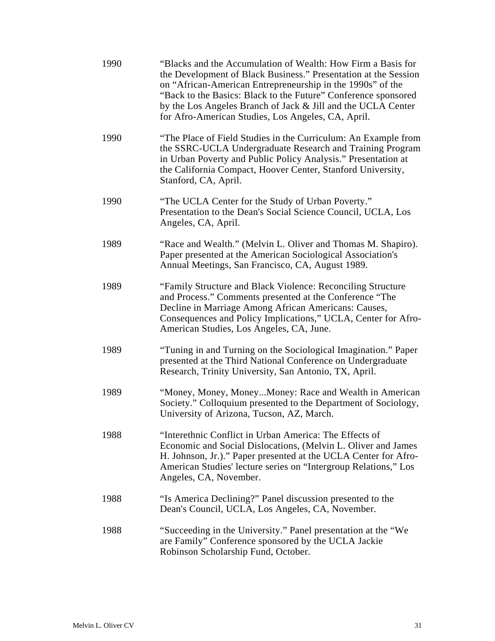| 1990 | "Blacks and the Accumulation of Wealth: How Firm a Basis for<br>the Development of Black Business." Presentation at the Session<br>on "African-American Entrepreneurship in the 1990s" of the<br>"Back to the Basics: Black to the Future" Conference sponsored<br>by the Los Angeles Branch of Jack & Jill and the UCLA Center<br>for Afro-American Studies, Los Angeles, CA, April. |
|------|---------------------------------------------------------------------------------------------------------------------------------------------------------------------------------------------------------------------------------------------------------------------------------------------------------------------------------------------------------------------------------------|
| 1990 | "The Place of Field Studies in the Curriculum: An Example from<br>the SSRC-UCLA Undergraduate Research and Training Program<br>in Urban Poverty and Public Policy Analysis." Presentation at<br>the California Compact, Hoover Center, Stanford University,<br>Stanford, CA, April.                                                                                                   |
| 1990 | "The UCLA Center for the Study of Urban Poverty."<br>Presentation to the Dean's Social Science Council, UCLA, Los<br>Angeles, CA, April.                                                                                                                                                                                                                                              |
| 1989 | "Race and Wealth." (Melvin L. Oliver and Thomas M. Shapiro).<br>Paper presented at the American Sociological Association's<br>Annual Meetings, San Francisco, CA, August 1989.                                                                                                                                                                                                        |
| 1989 | "Family Structure and Black Violence: Reconciling Structure<br>and Process." Comments presented at the Conference "The<br>Decline in Marriage Among African Americans: Causes,<br>Consequences and Policy Implications," UCLA, Center for Afro-<br>American Studies, Los Angeles, CA, June.                                                                                           |
| 1989 | "Tuning in and Turning on the Sociological Imagination." Paper<br>presented at the Third National Conference on Undergraduate<br>Research, Trinity University, San Antonio, TX, April.                                                                                                                                                                                                |
| 1989 | "Money, Money, MoneyMoney: Race and Wealth in American<br>Society." Colloquium presented to the Department of Sociology,<br>University of Arizona, Tucson, AZ, March.                                                                                                                                                                                                                 |
| 1988 | "Interethnic Conflict in Urban America: The Effects of<br>Economic and Social Dislocations, (Melvin L. Oliver and James<br>H. Johnson, Jr.)." Paper presented at the UCLA Center for Afro-<br>American Studies' lecture series on "Intergroup Relations," Los<br>Angeles, CA, November.                                                                                               |
| 1988 | "Is America Declining?" Panel discussion presented to the<br>Dean's Council, UCLA, Los Angeles, CA, November.                                                                                                                                                                                                                                                                         |
| 1988 | "Succeeding in the University." Panel presentation at the "We<br>are Family" Conference sponsored by the UCLA Jackie<br>Robinson Scholarship Fund, October.                                                                                                                                                                                                                           |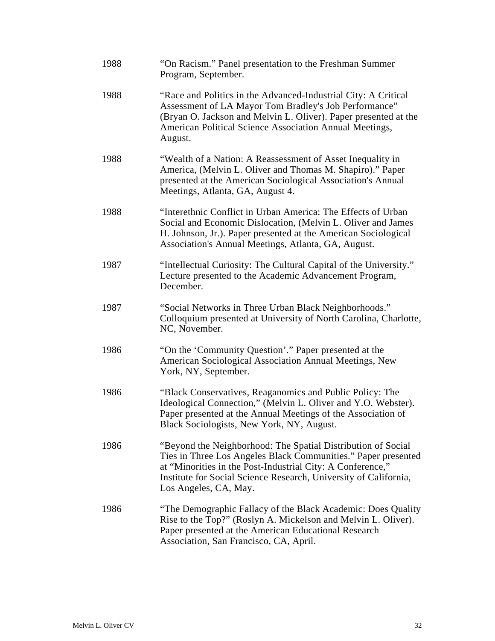| 1988 | "On Racism." Panel presentation to the Freshman Summer<br>Program, September.                                                                                                                                                                                                            |
|------|------------------------------------------------------------------------------------------------------------------------------------------------------------------------------------------------------------------------------------------------------------------------------------------|
| 1988 | "Race and Politics in the Advanced-Industrial City: A Critical<br>Assessment of LA Mayor Tom Bradley's Job Performance"<br>(Bryan O. Jackson and Melvin L. Oliver). Paper presented at the<br>American Political Science Association Annual Meetings,<br>August.                         |
| 1988 | "Wealth of a Nation: A Reassessment of Asset Inequality in<br>America, (Melvin L. Oliver and Thomas M. Shapiro)." Paper<br>presented at the American Sociological Association's Annual<br>Meetings, Atlanta, GA, August 4.                                                               |
| 1988 | "Interethnic Conflict in Urban America: The Effects of Urban<br>Social and Economic Dislocation, (Melvin L. Oliver and James<br>H. Johnson, Jr.). Paper presented at the American Sociological<br>Association's Annual Meetings, Atlanta, GA, August.                                    |
| 1987 | "Intellectual Curiosity: The Cultural Capital of the University."<br>Lecture presented to the Academic Advancement Program,<br>December.                                                                                                                                                 |
| 1987 | "Social Networks in Three Urban Black Neighborhoods."<br>Colloquium presented at University of North Carolina, Charlotte,<br>NC, November.                                                                                                                                               |
| 1986 | "On the 'Community Question'." Paper presented at the<br>American Sociological Association Annual Meetings, New<br>York, NY, September.                                                                                                                                                  |
| 1986 | "Black Conservatives, Reaganomics and Public Policy: The<br>Ideological Connection," (Melvin L. Oliver and Y.O. Webster).<br>Paper presented at the Annual Meetings of the Association of<br>Black Sociologists, New York, NY, August.                                                   |
| 1986 | "Beyond the Neighborhood: The Spatial Distribution of Social<br>Ties in Three Los Angeles Black Communities." Paper presented<br>at "Minorities in the Post-Industrial City: A Conference,"<br>Institute for Social Science Research, University of California,<br>Los Angeles, CA, May. |
| 1986 | "The Demographic Fallacy of the Black Academic: Does Quality<br>Rise to the Top?" (Roslyn A. Mickelson and Melvin L. Oliver).<br>Paper presented at the American Educational Research<br>Association, San Francisco, CA, April.                                                          |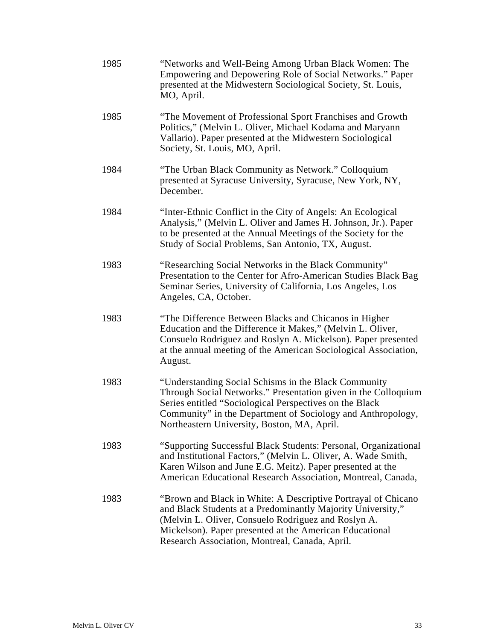| 1985 | "Networks and Well-Being Among Urban Black Women: The<br>Empowering and Depowering Role of Social Networks." Paper<br>presented at the Midwestern Sociological Society, St. Louis,<br>MO, April.                                                                                                 |
|------|--------------------------------------------------------------------------------------------------------------------------------------------------------------------------------------------------------------------------------------------------------------------------------------------------|
| 1985 | "The Movement of Professional Sport Franchises and Growth<br>Politics," (Melvin L. Oliver, Michael Kodama and Maryann<br>Vallario). Paper presented at the Midwestern Sociological<br>Society, St. Louis, MO, April.                                                                             |
| 1984 | "The Urban Black Community as Network." Colloquium<br>presented at Syracuse University, Syracuse, New York, NY,<br>December.                                                                                                                                                                     |
| 1984 | "Inter-Ethnic Conflict in the City of Angels: An Ecological<br>Analysis," (Melvin L. Oliver and James H. Johnson, Jr.). Paper<br>to be presented at the Annual Meetings of the Society for the<br>Study of Social Problems, San Antonio, TX, August.                                             |
| 1983 | "Researching Social Networks in the Black Community"<br>Presentation to the Center for Afro-American Studies Black Bag<br>Seminar Series, University of California, Los Angeles, Los<br>Angeles, CA, October.                                                                                    |
| 1983 | "The Difference Between Blacks and Chicanos in Higher<br>Education and the Difference it Makes," (Melvin L. Oliver,<br>Consuelo Rodriguez and Roslyn A. Mickelson). Paper presented<br>at the annual meeting of the American Sociological Association,<br>August.                                |
| 1983 | "Understanding Social Schisms in the Black Community<br>Through Social Networks." Presentation given in the Colloquium<br>Series entitled "Sociological Perspectives on the Black<br>Community" in the Department of Sociology and Anthropology,<br>Northeastern University, Boston, MA, April.  |
| 1983 | "Supporting Successful Black Students: Personal, Organizational<br>and Institutional Factors," (Melvin L. Oliver, A. Wade Smith,<br>Karen Wilson and June E.G. Meitz). Paper presented at the<br>American Educational Research Association, Montreal, Canada,                                    |
| 1983 | "Brown and Black in White: A Descriptive Portrayal of Chicano<br>and Black Students at a Predominantly Majority University,"<br>(Melvin L. Oliver, Consuelo Rodriguez and Roslyn A.<br>Mickelson). Paper presented at the American Educational<br>Research Association, Montreal, Canada, April. |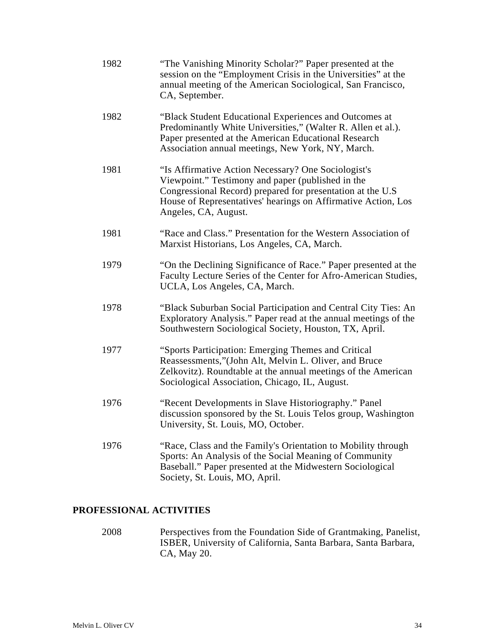| 1982 | "The Vanishing Minority Scholar?" Paper presented at the<br>session on the "Employment Crisis in the Universities" at the<br>annual meeting of the American Sociological, San Francisco,<br>CA, September.                                                      |
|------|-----------------------------------------------------------------------------------------------------------------------------------------------------------------------------------------------------------------------------------------------------------------|
| 1982 | "Black Student Educational Experiences and Outcomes at<br>Predominantly White Universities," (Walter R. Allen et al.).<br>Paper presented at the American Educational Research<br>Association annual meetings, New York, NY, March.                             |
| 1981 | "Is Affirmative Action Necessary? One Sociologist's<br>Viewpoint." Testimony and paper (published in the<br>Congressional Record) prepared for presentation at the U.S<br>House of Representatives' hearings on Affirmative Action, Los<br>Angeles, CA, August. |
| 1981 | "Race and Class." Presentation for the Western Association of<br>Marxist Historians, Los Angeles, CA, March.                                                                                                                                                    |
| 1979 | "On the Declining Significance of Race." Paper presented at the<br>Faculty Lecture Series of the Center for Afro-American Studies,<br>UCLA, Los Angeles, CA, March.                                                                                             |
| 1978 | "Black Suburban Social Participation and Central City Ties: An<br>Exploratory Analysis." Paper read at the annual meetings of the<br>Southwestern Sociological Society, Houston, TX, April.                                                                     |
| 1977 | "Sports Participation: Emerging Themes and Critical<br>Reassessments,"(John Alt, Melvin L. Oliver, and Bruce<br>Zelkovitz). Roundtable at the annual meetings of the American<br>Sociological Association, Chicago, IL, August.                                 |
| 1976 | "Recent Developments in Slave Historiography." Panel<br>discussion sponsored by the St. Louis Telos group, Washington<br>University, St. Louis, MO, October.                                                                                                    |
| 1976 | "Race, Class and the Family's Orientation to Mobility through<br>Sports: An Analysis of the Social Meaning of Community<br>Baseball." Paper presented at the Midwestern Sociological<br>Society, St. Louis, MO, April.                                          |

### **PROFESSIONAL ACTIVITIES**

2008 Perspectives from the Foundation Side of Grantmaking, Panelist, ISBER, University of California, Santa Barbara, Santa Barbara, CA, May 20.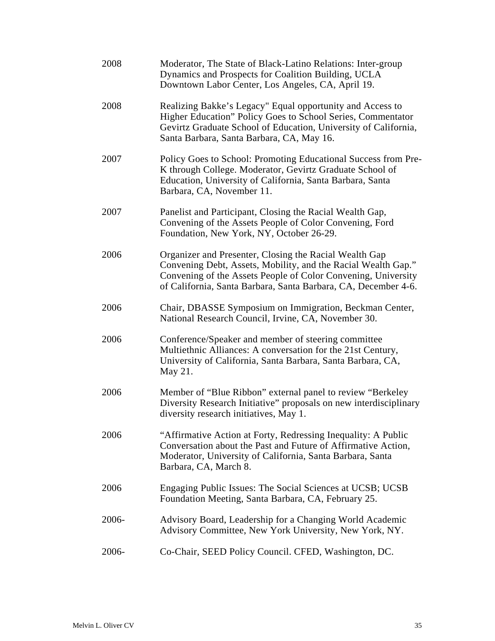| 2008  | Moderator, The State of Black-Latino Relations: Inter-group<br>Dynamics and Prospects for Coalition Building, UCLA<br>Downtown Labor Center, Los Angeles, CA, April 19.                                                                                    |
|-------|------------------------------------------------------------------------------------------------------------------------------------------------------------------------------------------------------------------------------------------------------------|
| 2008  | Realizing Bakke's Legacy" Equal opportunity and Access to<br>Higher Education" Policy Goes to School Series, Commentator<br>Gevirtz Graduate School of Education, University of California,<br>Santa Barbara, Santa Barbara, CA, May 16.                   |
| 2007  | Policy Goes to School: Promoting Educational Success from Pre-<br>K through College. Moderator, Gevirtz Graduate School of<br>Education, University of California, Santa Barbara, Santa<br>Barbara, CA, November 11.                                       |
| 2007  | Panelist and Participant, Closing the Racial Wealth Gap,<br>Convening of the Assets People of Color Convening, Ford<br>Foundation, New York, NY, October 26-29.                                                                                            |
| 2006  | Organizer and Presenter, Closing the Racial Wealth Gap<br>Convening Debt, Assets, Mobility, and the Racial Wealth Gap."<br>Convening of the Assets People of Color Convening, University<br>of California, Santa Barbara, Santa Barbara, CA, December 4-6. |
| 2006  | Chair, DBASSE Symposium on Immigration, Beckman Center,<br>National Research Council, Irvine, CA, November 30.                                                                                                                                             |
| 2006  | Conference/Speaker and member of steering committee<br>Multiethnic Alliances: A conversation for the 21st Century,<br>University of California, Santa Barbara, Santa Barbara, CA,<br>May 21.                                                               |
| 2006  | Member of "Blue Ribbon" external panel to review "Berkeley<br>Diversity Research Initiative" proposals on new interdisciplinary<br>diversity research initiatives, May 1.                                                                                  |
| 2006  | "Affirmative Action at Forty, Redressing Inequality: A Public<br>Conversation about the Past and Future of Affirmative Action,<br>Moderator, University of California, Santa Barbara, Santa<br>Barbara, CA, March 8.                                       |
| 2006  | Engaging Public Issues: The Social Sciences at UCSB; UCSB<br>Foundation Meeting, Santa Barbara, CA, February 25.                                                                                                                                           |
| 2006- | Advisory Board, Leadership for a Changing World Academic<br>Advisory Committee, New York University, New York, NY.                                                                                                                                         |
| 2006- | Co-Chair, SEED Policy Council. CFED, Washington, DC.                                                                                                                                                                                                       |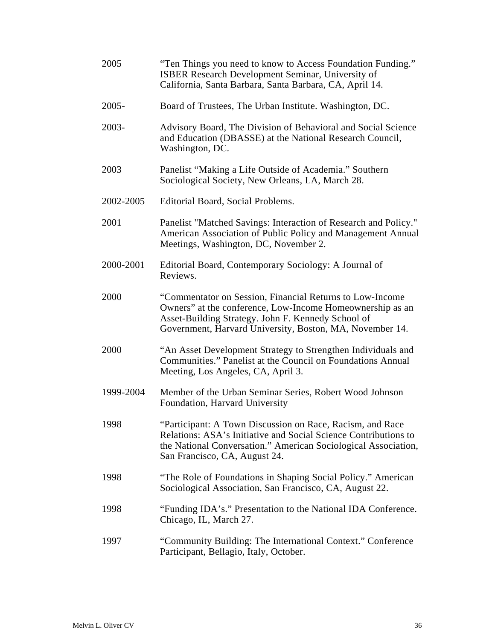| 2005      | "Ten Things you need to know to Access Foundation Funding."<br>ISBER Research Development Seminar, University of<br>California, Santa Barbara, Santa Barbara, CA, April 14.                                                             |
|-----------|-----------------------------------------------------------------------------------------------------------------------------------------------------------------------------------------------------------------------------------------|
| $2005 -$  | Board of Trustees, The Urban Institute. Washington, DC.                                                                                                                                                                                 |
| 2003-     | Advisory Board, The Division of Behavioral and Social Science<br>and Education (DBASSE) at the National Research Council,<br>Washington, DC.                                                                                            |
| 2003      | Panelist "Making a Life Outside of Academia." Southern<br>Sociological Society, New Orleans, LA, March 28.                                                                                                                              |
| 2002-2005 | Editorial Board, Social Problems.                                                                                                                                                                                                       |
| 2001      | Panelist "Matched Savings: Interaction of Research and Policy."<br>American Association of Public Policy and Management Annual<br>Meetings, Washington, DC, November 2.                                                                 |
| 2000-2001 | Editorial Board, Contemporary Sociology: A Journal of<br>Reviews.                                                                                                                                                                       |
| 2000      | "Commentator on Session, Financial Returns to Low-Income<br>Owners" at the conference, Low-Income Homeownership as an<br>Asset-Building Strategy. John F. Kennedy School of<br>Government, Harvard University, Boston, MA, November 14. |
| 2000      | "An Asset Development Strategy to Strengthen Individuals and<br>Communities." Panelist at the Council on Foundations Annual<br>Meeting, Los Angeles, CA, April 3.                                                                       |
| 1999-2004 | Member of the Urban Seminar Series, Robert Wood Johnson<br>Foundation, Harvard University                                                                                                                                               |
| 1998      | "Participant: A Town Discussion on Race, Racism, and Race<br>Relations: ASA's Initiative and Social Science Contributions to<br>the National Conversation." American Sociological Association,<br>San Francisco, CA, August 24.         |
| 1998      | "The Role of Foundations in Shaping Social Policy." American<br>Sociological Association, San Francisco, CA, August 22.                                                                                                                 |
| 1998      | "Funding IDA's." Presentation to the National IDA Conference.<br>Chicago, IL, March 27.                                                                                                                                                 |
| 1997      | "Community Building: The International Context." Conference<br>Participant, Bellagio, Italy, October.                                                                                                                                   |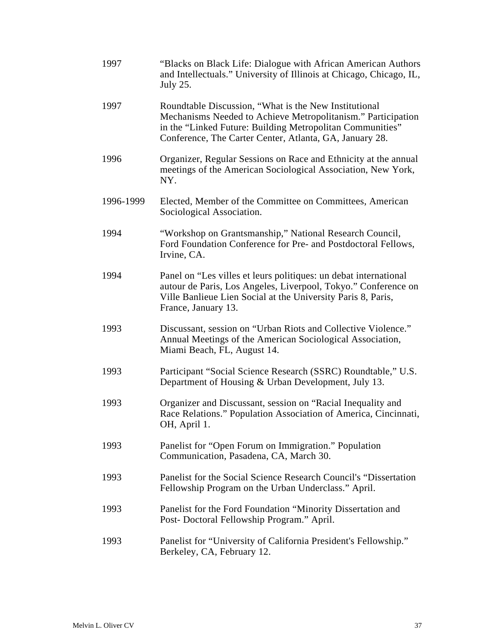| 1997      | "Blacks on Black Life: Dialogue with African American Authors"<br>and Intellectuals." University of Illinois at Chicago, Chicago, IL,<br><b>July 25.</b>                                                                                      |
|-----------|-----------------------------------------------------------------------------------------------------------------------------------------------------------------------------------------------------------------------------------------------|
| 1997      | Roundtable Discussion, "What is the New Institutional<br>Mechanisms Needed to Achieve Metropolitanism." Participation<br>in the "Linked Future: Building Metropolitan Communities"<br>Conference, The Carter Center, Atlanta, GA, January 28. |
| 1996      | Organizer, Regular Sessions on Race and Ethnicity at the annual<br>meetings of the American Sociological Association, New York,<br>NY.                                                                                                        |
| 1996-1999 | Elected, Member of the Committee on Committees, American<br>Sociological Association.                                                                                                                                                         |
| 1994      | "Workshop on Grantsmanship," National Research Council,<br>Ford Foundation Conference for Pre- and Postdoctoral Fellows,<br>Irvine, CA.                                                                                                       |
| 1994      | Panel on "Les villes et leurs politiques: un debat international<br>autour de Paris, Los Angeles, Liverpool, Tokyo." Conference on<br>Ville Banlieue Lien Social at the University Paris 8, Paris,<br>France, January 13.                     |
| 1993      | Discussant, session on "Urban Riots and Collective Violence."<br>Annual Meetings of the American Sociological Association,<br>Miami Beach, FL, August 14.                                                                                     |
| 1993      | Participant "Social Science Research (SSRC) Roundtable," U.S.<br>Department of Housing & Urban Development, July 13.                                                                                                                          |
| 1993      | Organizer and Discussant, session on "Racial Inequality and<br>Race Relations." Population Association of America, Cincinnati,<br>OH, April 1.                                                                                                |
| 1993      | Panelist for "Open Forum on Immigration." Population<br>Communication, Pasadena, CA, March 30.                                                                                                                                                |
| 1993      | Panelist for the Social Science Research Council's "Dissertation<br>Fellowship Program on the Urban Underclass." April.                                                                                                                       |
| 1993      | Panelist for the Ford Foundation "Minority Dissertation and<br>Post-Doctoral Fellowship Program." April.                                                                                                                                      |
| 1993      | Panelist for "University of California President's Fellowship."<br>Berkeley, CA, February 12.                                                                                                                                                 |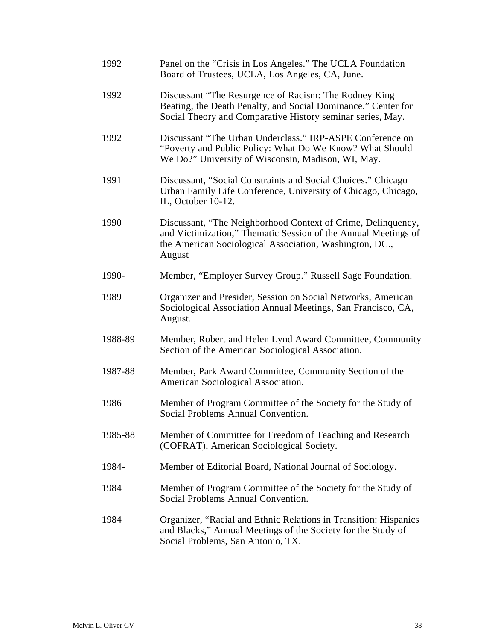| 1992    | Panel on the "Crisis in Los Angeles." The UCLA Foundation<br>Board of Trustees, UCLA, Los Angeles, CA, June.                                                                                        |
|---------|-----------------------------------------------------------------------------------------------------------------------------------------------------------------------------------------------------|
| 1992    | Discussant "The Resurgence of Racism: The Rodney King<br>Beating, the Death Penalty, and Social Dominance." Center for<br>Social Theory and Comparative History seminar series, May.                |
| 1992    | Discussant "The Urban Underclass." IRP-ASPE Conference on<br>"Poverty and Public Policy: What Do We Know? What Should<br>We Do?" University of Wisconsin, Madison, WI, May.                         |
| 1991    | Discussant, "Social Constraints and Social Choices." Chicago<br>Urban Family Life Conference, University of Chicago, Chicago,<br>IL, October 10-12.                                                 |
| 1990    | Discussant, "The Neighborhood Context of Crime, Delinquency,<br>and Victimization," Thematic Session of the Annual Meetings of<br>the American Sociological Association, Washington, DC.,<br>August |
| 1990-   | Member, "Employer Survey Group." Russell Sage Foundation.                                                                                                                                           |
| 1989    | Organizer and Presider, Session on Social Networks, American<br>Sociological Association Annual Meetings, San Francisco, CA,<br>August.                                                             |
| 1988-89 | Member, Robert and Helen Lynd Award Committee, Community<br>Section of the American Sociological Association.                                                                                       |
| 1987-88 | Member, Park Award Committee, Community Section of the<br>American Sociological Association.                                                                                                        |
| 1986    | Member of Program Committee of the Society for the Study of<br>Social Problems Annual Convention.                                                                                                   |
| 1985-88 | Member of Committee for Freedom of Teaching and Research<br>(COFRAT), American Sociological Society.                                                                                                |
| 1984-   | Member of Editorial Board, National Journal of Sociology.                                                                                                                                           |
| 1984    | Member of Program Committee of the Society for the Study of<br>Social Problems Annual Convention.                                                                                                   |
| 1984    | Organizer, "Racial and Ethnic Relations in Transition: Hispanics<br>and Blacks," Annual Meetings of the Society for the Study of<br>Social Problems, San Antonio, TX.                               |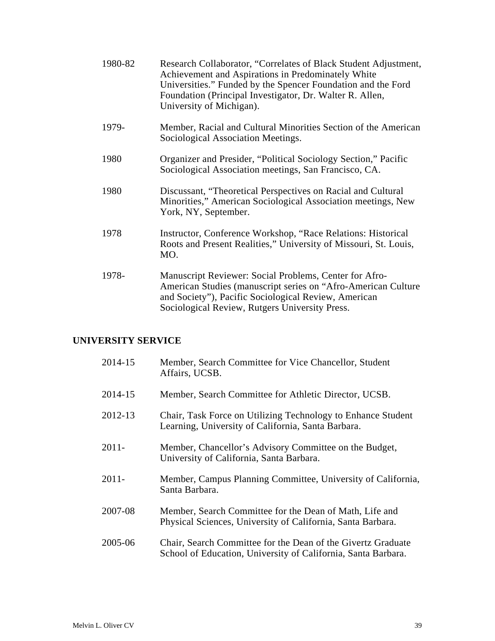| 1980-82 | Research Collaborator, "Correlates of Black Student Adjustment,<br>Achievement and Aspirations in Predominately White<br>Universities." Funded by the Spencer Foundation and the Ford<br>Foundation (Principal Investigator, Dr. Walter R. Allen,<br>University of Michigan). |
|---------|-------------------------------------------------------------------------------------------------------------------------------------------------------------------------------------------------------------------------------------------------------------------------------|
| 1979-   | Member, Racial and Cultural Minorities Section of the American<br>Sociological Association Meetings.                                                                                                                                                                          |
| 1980    | Organizer and Presider, "Political Sociology Section," Pacific<br>Sociological Association meetings, San Francisco, CA.                                                                                                                                                       |
| 1980    | Discussant, "Theoretical Perspectives on Racial and Cultural<br>Minorities," American Sociological Association meetings, New<br>York, NY, September.                                                                                                                          |
| 1978    | Instructor, Conference Workshop, "Race Relations: Historical<br>Roots and Present Realities," University of Missouri, St. Louis,<br>MO.                                                                                                                                       |
| 1978-   | Manuscript Reviewer: Social Problems, Center for Afro-<br>American Studies (manuscript series on "Afro-American Culture<br>and Society"), Pacific Sociological Review, American<br>Sociological Review, Rutgers University Press.                                             |

## **UNIVERSITY SERVICE**

| 2014-15  | Member, Search Committee for Vice Chancellor, Student<br>Affairs, UCSB.                                                       |
|----------|-------------------------------------------------------------------------------------------------------------------------------|
| 2014-15  | Member, Search Committee for Athletic Director, UCSB.                                                                         |
| 2012-13  | Chair, Task Force on Utilizing Technology to Enhance Student<br>Learning, University of California, Santa Barbara.            |
| $2011 -$ | Member, Chancellor's Advisory Committee on the Budget,<br>University of California, Santa Barbara.                            |
| $2011 -$ | Member, Campus Planning Committee, University of California,<br>Santa Barbara.                                                |
| 2007-08  | Member, Search Committee for the Dean of Math, Life and<br>Physical Sciences, University of California, Santa Barbara.        |
| 2005-06  | Chair, Search Committee for the Dean of the Givertz Graduate<br>School of Education, University of California, Santa Barbara. |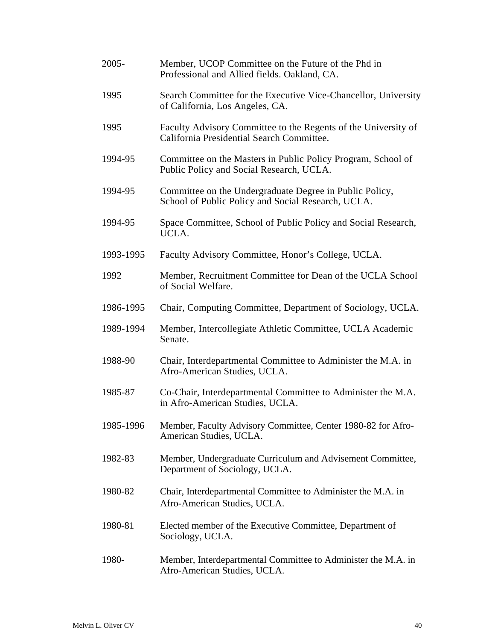| $2005 -$  | Member, UCOP Committee on the Future of the Phd in<br>Professional and Allied fields. Oakland, CA.            |
|-----------|---------------------------------------------------------------------------------------------------------------|
| 1995      | Search Committee for the Executive Vice-Chancellor, University<br>of California, Los Angeles, CA.             |
| 1995      | Faculty Advisory Committee to the Regents of the University of<br>California Presidential Search Committee.   |
| 1994-95   | Committee on the Masters in Public Policy Program, School of<br>Public Policy and Social Research, UCLA.      |
| 1994-95   | Committee on the Undergraduate Degree in Public Policy,<br>School of Public Policy and Social Research, UCLA. |
| 1994-95   | Space Committee, School of Public Policy and Social Research,<br>UCLA.                                        |
| 1993-1995 | Faculty Advisory Committee, Honor's College, UCLA.                                                            |
| 1992      | Member, Recruitment Committee for Dean of the UCLA School<br>of Social Welfare.                               |
| 1986-1995 | Chair, Computing Committee, Department of Sociology, UCLA.                                                    |
| 1989-1994 | Member, Intercollegiate Athletic Committee, UCLA Academic<br>Senate.                                          |
| 1988-90   | Chair, Interdepartmental Committee to Administer the M.A. in<br>Afro-American Studies, UCLA.                  |
| 1985-87   | Co-Chair, Interdepartmental Committee to Administer the M.A.<br>in Afro-American Studies, UCLA.               |
| 1985-1996 | Member, Faculty Advisory Committee, Center 1980-82 for Afro-<br>American Studies, UCLA.                       |
| 1982-83   | Member, Undergraduate Curriculum and Advisement Committee,<br>Department of Sociology, UCLA.                  |
| 1980-82   | Chair, Interdepartmental Committee to Administer the M.A. in<br>Afro-American Studies, UCLA.                  |
| 1980-81   | Elected member of the Executive Committee, Department of<br>Sociology, UCLA.                                  |
| 1980-     | Member, Interdepartmental Committee to Administer the M.A. in<br>Afro-American Studies, UCLA.                 |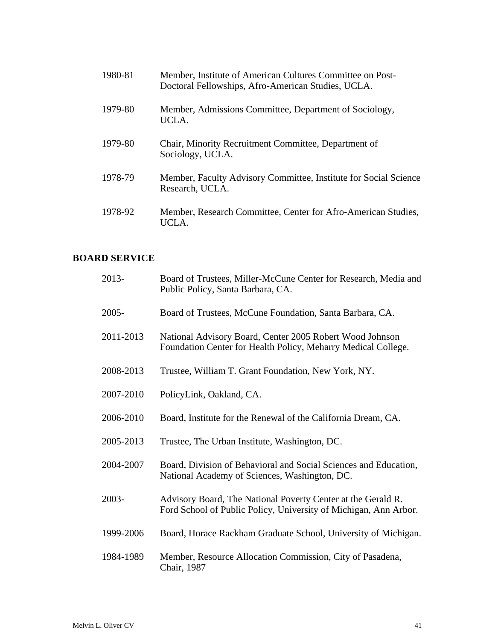| 1980-81 | Member, Institute of American Cultures Committee on Post-<br>Doctoral Fellowships, Afro-American Studies, UCLA. |
|---------|-----------------------------------------------------------------------------------------------------------------|
| 1979-80 | Member, Admissions Committee, Department of Sociology,<br>UCLA.                                                 |
| 1979-80 | Chair, Minority Recruitment Committee, Department of<br>Sociology, UCLA.                                        |
| 1978-79 | Member, Faculty Advisory Committee, Institute for Social Science<br>Research, UCLA.                             |
| 1978-92 | Member, Research Committee, Center for Afro-American Studies,<br>UCLA.                                          |

## **BOARD SERVICE**

| 2013-     | Board of Trustees, Miller-McCune Center for Research, Media and<br>Public Policy, Santa Barbara, CA.                             |
|-----------|----------------------------------------------------------------------------------------------------------------------------------|
| $2005 -$  | Board of Trustees, McCune Foundation, Santa Barbara, CA.                                                                         |
| 2011-2013 | National Advisory Board, Center 2005 Robert Wood Johnson<br>Foundation Center for Health Policy, Meharry Medical College.        |
| 2008-2013 | Trustee, William T. Grant Foundation, New York, NY.                                                                              |
| 2007-2010 | PolicyLink, Oakland, CA.                                                                                                         |
| 2006-2010 | Board, Institute for the Renewal of the California Dream, CA.                                                                    |
| 2005-2013 | Trustee, The Urban Institute, Washington, DC.                                                                                    |
| 2004-2007 | Board, Division of Behavioral and Social Sciences and Education,<br>National Academy of Sciences, Washington, DC.                |
| 2003-     | Advisory Board, The National Poverty Center at the Gerald R.<br>Ford School of Public Policy, University of Michigan, Ann Arbor. |
| 1999-2006 | Board, Horace Rackham Graduate School, University of Michigan.                                                                   |
| 1984-1989 | Member, Resource Allocation Commission, City of Pasadena,<br>Chair, 1987                                                         |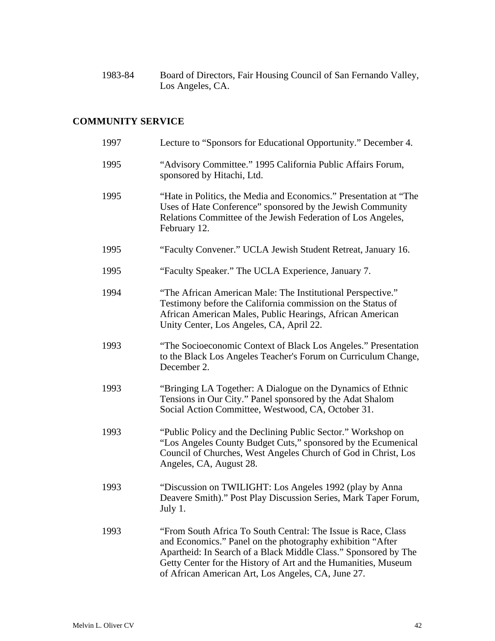1983-84 Board of Directors, Fair Housing Council of San Fernando Valley, Los Angeles, CA.

## **COMMUNITY SERVICE**

| 1997 | Lecture to "Sponsors for Educational Opportunity." December 4.                                                                                                                                                                                                                                                         |
|------|------------------------------------------------------------------------------------------------------------------------------------------------------------------------------------------------------------------------------------------------------------------------------------------------------------------------|
| 1995 | "Advisory Committee." 1995 California Public Affairs Forum,<br>sponsored by Hitachi, Ltd.                                                                                                                                                                                                                              |
| 1995 | "Hate in Politics, the Media and Economics." Presentation at "The<br>Uses of Hate Conference" sponsored by the Jewish Community<br>Relations Committee of the Jewish Federation of Los Angeles,<br>February 12.                                                                                                        |
| 1995 | "Faculty Convener." UCLA Jewish Student Retreat, January 16.                                                                                                                                                                                                                                                           |
| 1995 | "Faculty Speaker." The UCLA Experience, January 7.                                                                                                                                                                                                                                                                     |
| 1994 | "The African American Male: The Institutional Perspective."<br>Testimony before the California commission on the Status of<br>African American Males, Public Hearings, African American<br>Unity Center, Los Angeles, CA, April 22.                                                                                    |
| 1993 | "The Socioeconomic Context of Black Los Angeles." Presentation<br>to the Black Los Angeles Teacher's Forum on Curriculum Change,<br>December 2.                                                                                                                                                                        |
| 1993 | "Bringing LA Together: A Dialogue on the Dynamics of Ethnic<br>Tensions in Our City." Panel sponsored by the Adat Shalom<br>Social Action Committee, Westwood, CA, October 31.                                                                                                                                         |
| 1993 | "Public Policy and the Declining Public Sector." Workshop on<br>"Los Angeles County Budget Cuts," sponsored by the Ecumenical<br>Council of Churches, West Angeles Church of God in Christ, Los<br>Angeles, CA, August 28.                                                                                             |
| 1993 | "Discussion on TWILIGHT: Los Angeles 1992 (play by Anna<br>Deavere Smith)." Post Play Discussion Series, Mark Taper Forum,<br>July 1.                                                                                                                                                                                  |
| 1993 | "From South Africa To South Central: The Issue is Race, Class<br>and Economics." Panel on the photography exhibition "After<br>Apartheid: In Search of a Black Middle Class." Sponsored by The<br>Getty Center for the History of Art and the Humanities, Museum<br>of African American Art, Los Angeles, CA, June 27. |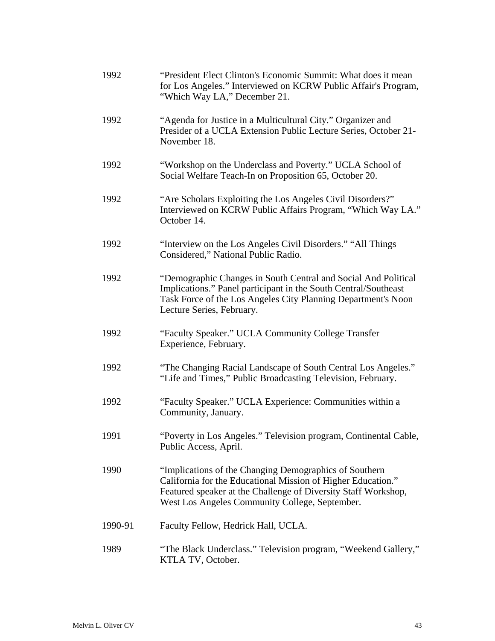| 1992    | "President Elect Clinton's Economic Summit: What does it mean<br>for Los Angeles." Interviewed on KCRW Public Affair's Program,<br>"Which Way LA," December 21.                                                                            |
|---------|--------------------------------------------------------------------------------------------------------------------------------------------------------------------------------------------------------------------------------------------|
| 1992    | "Agenda for Justice in a Multicultural City." Organizer and<br>Presider of a UCLA Extension Public Lecture Series, October 21-<br>November 18.                                                                                             |
| 1992    | "Workshop on the Underclass and Poverty." UCLA School of<br>Social Welfare Teach-In on Proposition 65, October 20.                                                                                                                         |
| 1992    | "Are Scholars Exploiting the Los Angeles Civil Disorders?"<br>Interviewed on KCRW Public Affairs Program, "Which Way LA."<br>October 14.                                                                                                   |
| 1992    | "Interview on the Los Angeles Civil Disorders." "All Things"<br>Considered," National Public Radio.                                                                                                                                        |
| 1992    | "Demographic Changes in South Central and Social And Political<br>Implications." Panel participant in the South Central/Southeast<br>Task Force of the Los Angeles City Planning Department's Noon<br>Lecture Series, February.            |
| 1992    | "Faculty Speaker." UCLA Community College Transfer<br>Experience, February.                                                                                                                                                                |
| 1992    | "The Changing Racial Landscape of South Central Los Angeles."<br>"Life and Times," Public Broadcasting Television, February.                                                                                                               |
| 1992    | "Faculty Speaker." UCLA Experience: Communities within a<br>Community, January.                                                                                                                                                            |
| 1991    | "Poverty in Los Angeles." Television program, Continental Cable,<br>Public Access, April.                                                                                                                                                  |
| 1990    | "Implications of the Changing Demographics of Southern<br>California for the Educational Mission of Higher Education."<br>Featured speaker at the Challenge of Diversity Staff Workshop,<br>West Los Angeles Community College, September. |
| 1990-91 | Faculty Fellow, Hedrick Hall, UCLA.                                                                                                                                                                                                        |
| 1989    | "The Black Underclass." Television program, "Weekend Gallery,"<br>KTLA TV, October.                                                                                                                                                        |